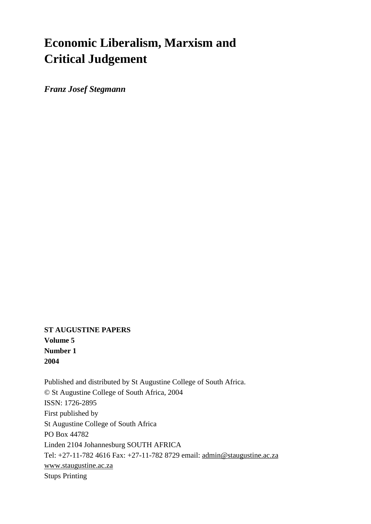# **Economic Liberalism, Marxism and Critical Judgement**

*Franz Josef Stegmann*

**ST AUGUSTINE PAPERS Volume 5 Number 1 2004**

Published and distributed by St Augustine College of South Africa. © St Augustine College of South Africa, 2004 ISSN: 1726-2895 First published by St Augustine College of South Africa PO Box 44782 Linden 2104 Johannesburg SOUTH AFRICA Tel: +27-11-782 4616 Fax: +27-11-782 8729 email: [admin@staugustine.ac.za](mailto:admin@staugustine.ac.za) [www.staugustine.ac.za](http://www.staugustine.ac.za/) Stups Printing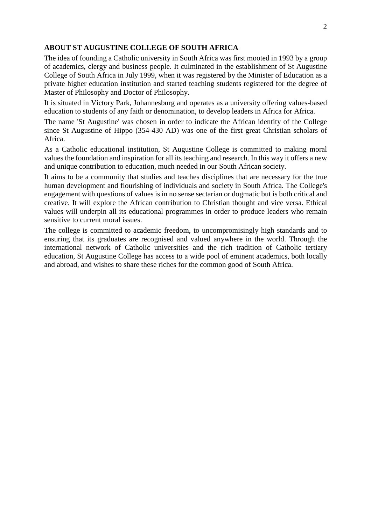#### **ABOUT ST AUGUSTINE COLLEGE OF SOUTH AFRICA**

The idea of founding a Catholic university in South Africa was first mooted in 1993 by a group of academics, clergy and business people. It culminated in the establishment of St Augustine College of South Africa in July 1999, when it was registered by the Minister of Education as a private higher education institution and started teaching students registered for the degree of Master of Philosophy and Doctor of Philosophy.

It is situated in Victory Park, Johannesburg and operates as a university offering values-based education to students of any faith or denomination, to develop leaders in Africa for Africa.

The name 'St Augustine' was chosen in order to indicate the African identity of the College since St Augustine of Hippo (354-430 AD) was one of the first great Christian scholars of Africa.

As a Catholic educational institution, St Augustine College is committed to making moral values the foundation and inspiration for all its teaching and research. In this way it offers a new and unique contribution to education, much needed in our South African society.

It aims to be a community that studies and teaches disciplines that are necessary for the true human development and flourishing of individuals and society in South Africa. The College's engagement with questions of values is in no sense sectarian or dogmatic but is both critical and creative. It will explore the African contribution to Christian thought and vice versa. Ethical values will underpin all its educational programmes in order to produce leaders who remain sensitive to current moral issues.

The college is committed to academic freedom, to uncompromisingly high standards and to ensuring that its graduates are recognised and valued anywhere in the world. Through the international network of Catholic universities and the rich tradition of Catholic tertiary education, St Augustine College has access to a wide pool of eminent academics, both locally and abroad, and wishes to share these riches for the common good of South Africa.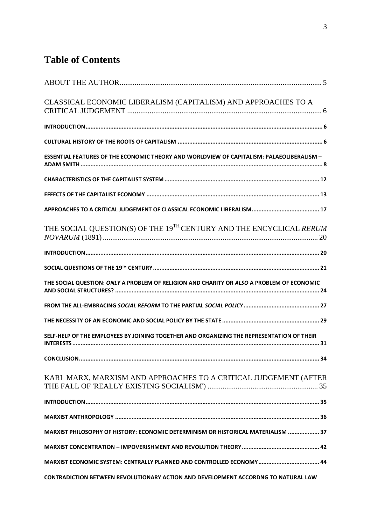# **Table of Contents**

| CLASSICAL ECONOMIC LIBERALISM (CAPITALISM) AND APPROACHES TO A                                   |
|--------------------------------------------------------------------------------------------------|
|                                                                                                  |
|                                                                                                  |
| <b>ESSENTIAL FEATURES OF THE ECONOMIC THEORY AND WORLDVIEW OF CAPITALISM: PALAEOLIBERALISM -</b> |
|                                                                                                  |
|                                                                                                  |
|                                                                                                  |
| THE SOCIAL QUESTION(S) OF THE 19 <sup>TH</sup> CENTURY AND THE ENCYCLICAL RERUM                  |
|                                                                                                  |
|                                                                                                  |
| THE SOCIAL QUESTION: ONLY A PROBLEM OF RELIGION AND CHARITY OR ALSO A PROBLEM OF ECONOMIC        |
|                                                                                                  |
|                                                                                                  |
| SELF-HELP OF THE EMPLOYEES BY JOINING TOGETHER AND ORGANIZING THE REPRESENTATION OF THEIR        |
|                                                                                                  |
| KARL MARX, MARXISM AND APPROACHES TO A CRITICAL JUDGEMENT (AFTER                                 |
|                                                                                                  |
|                                                                                                  |
| MARXIST PHILOSOPHY OF HISTORY: ECONOMIC DETERMINISM OR HISTORICAL MATERIALISM  37                |
|                                                                                                  |
|                                                                                                  |
| CONTRADICTION BETWEEN REVOLUTIONARY ACTION AND DEVELOPMENT ACCORDNG TO NATURAL LAW               |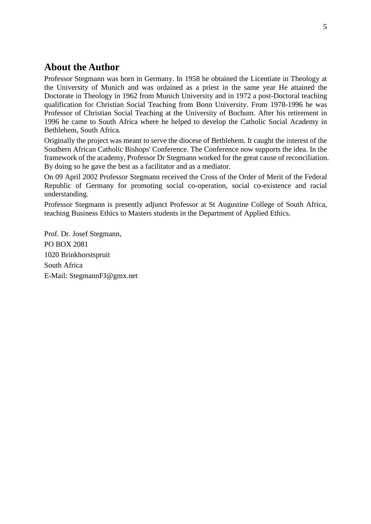# <span id="page-4-0"></span>**About the Author**

Professor Stegmann was born in Germany. In 1958 he obtained the Licentiate in Theology at the University of Munich and was ordained as a priest in the same year He attained the Doctorate in Theology in 1962 from Munich University and in 1972 a post-Doctoral teaching qualification for Christian Social Teaching from Bonn University. From 1978-1996 he was Professor of Christian Social Teaching at the University of Bochum. After his retirement in 1996 he came to South Africa where he helped to develop the Catholic Social Academy in Bethlehem, South Africa.

Originally the project was meant to serve the diocese of Bethlehem. It caught the interest of the Southern African Catholic Bishops' Conference. The Conference now supports the idea. In the framework of the academy, Professor Dr Stegmann worked for the great cause of reconciliation. By doing so he gave the best as a facilitator and as a mediator.

On 09 April 2002 Professor Stegmann received the Cross of the Order of Merit of the Federal Republic of Germany for promoting social co-operation, social co-existence and racial understanding.

Professor Stegmann is presently adjunct Professor at St Augustine College of South Africa, teaching Business Ethics to Masters students in the Department of Applied Ethics.

Prof. Dr. Josef Stegmann, PO BOX 2081 1020 Brinkhorstspruit South Africa E-Mail: StegmannFJ@gmx.net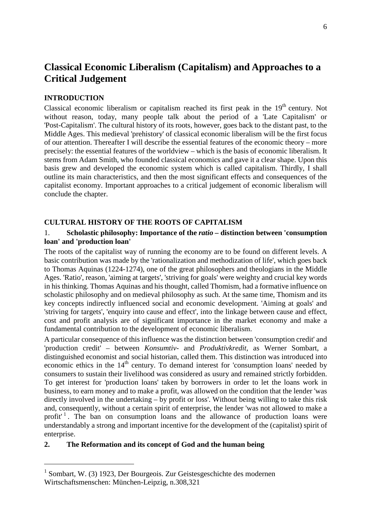# <span id="page-5-0"></span>**Classical Economic Liberalism (Capitalism) and Approaches to a Critical Judgement**

#### **INTRODUCTION**

Classical economic liberalism or capitalism reached its first peak in the  $19<sup>th</sup>$  century. Not without reason, today, many people talk about the period of a 'Late Capitalism' or 'Post-Capitalism'. The cultural history of its roots, however, goes back to the distant past, to the Middle Ages. This medieval 'prehistory' of classical economic liberalism will be the first focus of our attention. Thereafter I will describe the essential features of the economic theory – more precisely: the essential features of the worldview – which is the basis of economic liberalism. It stems from Adam Smith, who founded classical economics and gave it a clear shape. Upon this basis grew and developed the economic system which is called capitalism. Thirdly, I shall outline its main characteristics, and then the most significant effects and consequences of the capitalist economy. Important approaches to a critical judgement of economic liberalism will conclude the chapter.

#### **CULTURAL HISTORY OF THE ROOTS OF CAPITALISM**

#### 1. **Scholastic philosophy: Importance of the** *ratio –* **distinction between 'consumption loan' and 'production loan'**

The roots of the capitalist way of running the economy are to be found on different levels. A basic contribution was made by the 'rationalization and methodization of life', which goes back to Thomas Aquinas (1224-1274), one of the great philosophers and theologians in the Middle Ages. 'Ratio', reason, 'aiming at targets', 'striving for goals' were weighty and crucial key words in his thinking. Thomas Aquinas and his thought, called Thomism, had a formative influence on scholastic philosophy and on medieval philosophy as such. At the same time, Thomism and its key concepts indirectly influenced social and economic development. 'Aiming at goals' and 'striving for targets', 'enquiry into cause and effect', into the linkage between cause and effect, cost and profit analysis are of significant importance in the market economy and make a fundamental contribution to the development of economic liberalism.

A particular consequence of this influence was the distinction between 'consumption credit' and 'production credit' – between *Konsumtiv-* and *Produktivkredit,* as Werner Sombart, a distinguished economist and social historian, called them. This distinction was introduced into economic ethics in the  $14<sup>th</sup>$  century. To demand interest for 'consumption loans' needed by consumers to sustain their livelihood was considered as usury and remained strictly forbidden. To get interest for 'production loans' taken by borrowers in order to let the loans work in business, to earn money and to make a profit, was allowed on the condition that the lender 'was directly involved in the undertaking – by profit or loss'. Without being willing to take this risk and, consequently, without a certain spirit of enterprise, the lender 'was not allowed to make a profit<sup>1</sup>[.](#page-5-1) The ban on consumption loans and the allowance of production loans were understandably a strong and important incentive for the development of the (capitalist) spirit of enterprise.

#### **2. The Reformation and its concept of God and the human being**

<span id="page-5-1"></span><sup>&</sup>lt;sup>1</sup> Sombart, W. (3) 1923, Der Bourgeois. Zur Geistesgeschichte des modernen Wirtschaftsmenschen: München-Leipzig, n.308,321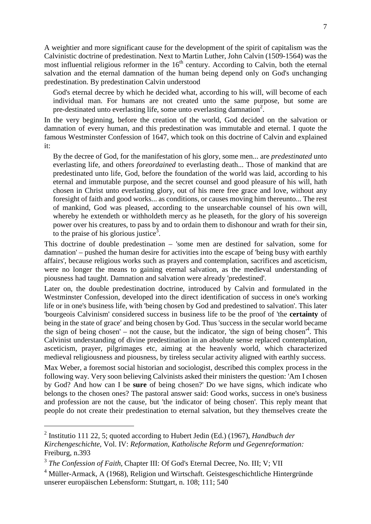A weightier and more significant cause for the development of the spirit of capitalism was the Calvinistic doctrine of predestination. Next to Martin Luther, John Calvin (1509-1564) was the most influential religious reformer in the  $16<sup>th</sup>$  century. According to Calvin, both the eternal salvation and the eternal damnation of the human being depend only on God's unchanging predestination. By predestination Calvin understood

God's eternal decree by which he decided what, according to his will, will become of each individual man. For humans are not created unto the same purpose, but some are pre-destinated unto everlasting life, some unto everlasting damnation<sup>2</sup>[.](#page-6-0)

In the very beginning, before the creation of the world, God decided on the salvation or damnation of every human, and this predestination was immutable and eternal. I quote the famous Westminster Confession of 1647, which took on this doctrine of Calvin and explained it:

By the decree of God, for the manifestation of his glory, some men... are *predestinated* unto everlasting life, and others *foreordained* to everlasting death... Those of mankind that are predestinated unto life, God, before the foundation of the world was laid, according to his eternal and immutable purpose, and the secret counsel and good pleasure of his will, hath chosen in Christ unto everlasting glory, out of his mere free grace and love, without any foresight of faith and good works... as conditions, or causes moving him thereunto... The rest of mankind, God was pleased, according to the unsearchable counsel of his own will, whereby he extendeth or withholdeth mercy as he pleaseth, for the glory of his sovereign power over his creatures, to pass by and to ordain them to dishonour and wrath for their sin, to the praise of his glorious justice<sup>[3](#page-6-1)</sup>.

This doctrine of double predestination – 'some men are destined for salvation, some for damnation' – pushed the human desire for activities into the escape of 'being busy with earthly affairs', because religious works such as prayers and contemplation, sacrifices and asceticism, were no longer the means to gaining eternal salvation, as the medieval understanding of piousness had taught. Damnation and salvation were already 'predestined'.

Later on, the double predestination doctrine, introduced by Calvin and formulated in the Westminster Confession, developed into the direct identification of success in one's working life or in one's business life, with 'being chosen by God and predestined to salvation'. This later 'bourgeois Calvinism' considered success in business life to be the proof of 'the **certainty** of being in the state of grace' and being chosen by God. Thus 'success in the secular world became the sign of being chosen' – not the cause, but the indicator, 'the sign of being chosen'<sup>4</sup>[.](#page-6-2) This Calvinist understanding of divine predestination in an absolute sense replaced contemplation, asceticism, prayer, pilgrimages etc, aiming at the heavenly world, which characterized medieval religiousness and piousness, by tireless secular activity aligned with earthly success.

Max Weber, a foremost social historian and sociologist, described this complex process in the following way. Very soon believing Calvinists asked their ministers the question: 'Am I chosen by God? And how can I be **sure** of being chosen?' Do we have signs, which indicate who belongs to the chosen ones? The pastoral answer said: Good works, success in one's business and profession are not the cause, but 'the indicator of being chosen'. This reply meant that people do not create their predestination to eternal salvation, but they themselves create the

<span id="page-6-0"></span><sup>2</sup> Institutio 111 22, 5; quoted according to Hubert Jedin (Ed.) (1967), *Handbuch der Kirchengeschichte,* Vol. IV: *Reformation, Katholische Reform und Gegenreformation:* Freiburg, n.393

<span id="page-6-1"></span><sup>&</sup>lt;sup>3</sup> The Confession of Faith, Chapter III: Of God's Eternal Decree, No. III; V; VII

<span id="page-6-2"></span><sup>4</sup> Müller-Armack, A (1968), Religion und Wirtschaft. Geistesgeschichtliche Hintergründe unserer europäischen Lebensform: Stuttgart, n. 108; 111; 540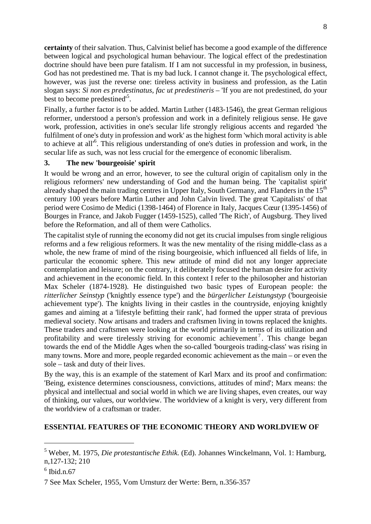<span id="page-7-0"></span>**certainty** of their salvation. Thus, Calvinist belief has become a good example of the difference between logical and psychological human behaviour. The logical effect of the predestination doctrine should have been pure fatalism. If I am not successful in my profession, in business, God has not predestined me. That is my bad luck. I cannot change it. The psychological effect, however, was just the reverse one: tireless activity in business and profession, as the Latin slogan says: *Si non es predestinatus, fac ut predestineris –* 'If you are not predestined, do your best to become predestined<sup>5</sup>[.](#page-7-1)

Finally, a further factor is to be added. Martin Luther (1483-1546), the great German religious reformer, understood a person's profession and work in a definitely religious sense. He gave work, profession, activities in one's secular life strongly religious accents and regarded 'the fulfilment of one's duty in profession and work' as the highest form 'which moral activity is able to achieveatall'<sup>6</sup> . This religious understanding of one's duties in profession and work, in the secular life as such, was not less crucial for the emergence of economic liberalism.

#### **3. The new 'bourgeoisie' spirit**

It would be wrong and an error, however, to see the cultural origin of capitalism only in the religious reformers' new understanding of God and the human being. The 'capitalist spirit' already shaped the main trading centres in Upper Italy, South Germany, and Flanders in the  $15<sup>th</sup>$ century 100 years before Martin Luther and John Calvin lived. The great 'Capitalists' of that period were Cosimo de Medici (1398-1464) of Florence in Italy, Jacques Cœur (1395-1456) of Bourges in France, and Jakob Fugger (1459-1525), called 'The Rich', of Augsburg. They lived before the Reformation, and all of them were Catholics.

The capitalist style of running the economy did not get its crucial impulses from single religious reforms and a few religious reformers. It was the new mentality of the rising middle-class as a whole, the new frame of mind of the rising bourgeoisie, which influenced all fields of life, in particular the economic sphere. This new attitude of mind did not any longer appreciate contemplation and leisure; on the contrary, it deliberately focused the human desire for activity and achievement in the economic field. In this context I refer to the philosopher and historian Max Scheler (1874-1928). He distinguished two basic types of European people: the *ritterlicher Seinstyp* ('knightly essence type') and the *bürgerlicher Leistungstyp* ('bourgeoisie achievement type'). The knights living in their castles in the countryside, enjoying knightly games and aiming at a 'lifestyle befitting their rank', had formed the upper strata of previous medieval society. Now artisans and traders and craftsmen living in towns replaced the knights. These traders and craftsmen were looking at the world primarily in terms of its utilization and profitability and were tirelessly striving for economic achievement<sup>7</sup>[.](#page-7-3) This change began towards the end of the Middle Ages when the so-called 'bourgeois trading-class' was rising in many towns. More and more, people regarded economic achievement as the main – or even the sole – task and duty of their lives.

By the way, this is an example of the statement of Karl Marx and its proof and confirmation: 'Being, existence determines consciousness, convictions, attitudes of mind'; Marx means: the physical and intellectual and social world in which we are living shapes, even creates, our way of thinking, our values, our worldview. The worldview of a knight is very, very different from the worldview of a craftsman or trader.

#### **ESSENTIAL FEATURES OF THE ECONOMIC THEORY AND WORLDVIEW OF**

<span id="page-7-1"></span><sup>5</sup> Weber, M. 1975, *Die protestantische Ethik.* (Ed). Johannes Winckelmann, Vol. 1: Hamburg, n,127-132; 210

<span id="page-7-2"></span> $6$  Ibid.n.67

<span id="page-7-3"></span><sup>7</sup> See Max Scheler, 1955, Vom Urnsturz der Werte: Bern, n.356-357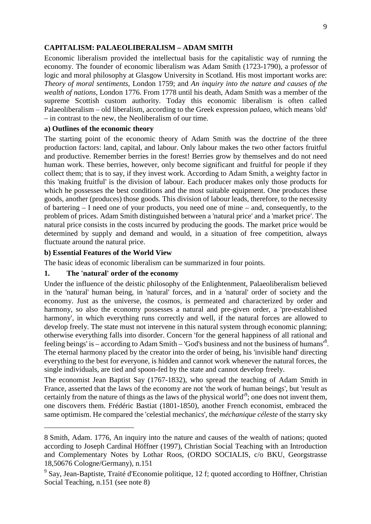#### **CAPITALISM: PALAEOLIBERALISM – ADAM SMITH**

Economic liberalism provided the intellectual basis for the capitalistic way of running the economy. The founder of economic liberalism was Adam Smith (1723-1790), a professor of logic and moral philosophy at Glasgow University in Scotland. His most important works are: *Theory of moral sentiments,* London 1759; and *An inquiry into the nature and causes of the wealth of nations,* London 1776. From 1778 until his death, Adam Smith was a member of the supreme Scottish custom authority. Today this economic liberalism is often called Palaeoliberalism – old liberalism, according to the Greek expression *palaeo,* which means 'old' – in contrast to the new, the Neoliberalism of our time.

#### **a) Outlines of the economic theory**

The starting point of the economic theory of Adam Smith was the doctrine of the three production factors: land, capital, and labour. Only labour makes the two other factors fruitful and productive. Remember berries in the forest! Berries grow by themselves and do not need human work. These berries, however, only become significant and fruitful for people if they collect them; that is to say, if they invest work. According to Adam Smith, a weighty factor in this 'making fruitful' is the division of labour. Each producer makes only those products for which he possesses the best conditions and the most suitable equipment. One produces these goods, another (produces) those goods. This division of labour leads, therefore, to the necessity of bartering – I need one of your products, you need one of mine – and, consequently, to the problem of prices. Adam Smith distinguished between a 'natural price' and a 'market price'. The natural price consists in the costs incurred by producing the goods. The market price would be determined by supply and demand and would, in a situation of free competition, always fluctuate around the natural price.

#### **b) Essential Features of the World View**

The basic ideas of economic liberalism can be summarized in four points.

#### **1. The 'natural' order of the economy**

Under the influence of the deistic philosophy of the Enlightenment, Palaeoliberalism believed in the 'natural' human being, in 'natural' forces, and in a 'natural' order of society and the economy. Just as the universe, the cosmos, is permeated and characterized by order and harmony, so also the economy possesses a natural and pre-given order, a 'pre-established harmony', in which everything runs correctly and well, if the natural forces are allowed to develop freely. The state must not intervene in this natural system through economic planning; otherwise everything falls into disorder. Concern 'for the general happiness of all rational and feeling beings' is – according to Adam Smith – 'God's business and not the business of humans'<sup>8</sup>[.](#page-8-0) The eternal harmony placed by the creator into the order of being, his 'invisible hand' directing everything to the best for everyone, is hidden and cannot work whenever the natural forces, the single individuals, are tied and spoon-fed by the state and cannot develop freely.

The economist Jean Baptist Say (1767-1832), who spread the teaching of Adam Smith in France, asserted that the laws of the economy are not 'the work of human beings', but 'result as certainly from the nature of things as the laws of the physical world<sup>19</sup>[;](#page-8-1) one does not invent them, one discovers them. Frédéric Bastiat (1801-1850), another French economist, embraced the same optimism. He compared the 'celestial mechanics', the *méchanique céleste* of the starry sky

<span id="page-8-0"></span><sup>8</sup> Smith, Adam. 1776, An inquiry into the nature and causes of the wealth of nations; quoted according to Joseph Cardinal Höffner (1997), Christian Social Teaching with an Introduction and Complementary Notes by Lothar Roos, (ORDO SOCIALIS, c/o BKU, Georgstrasse 18,50676 Cologne/Germany), n.151

<span id="page-8-1"></span><sup>&</sup>lt;sup>9</sup> Say, Jean-Baptiste, Traité d'Economie politique, 12 f; quoted according to Höffner, Christian Social Teaching, n.151 (see note 8)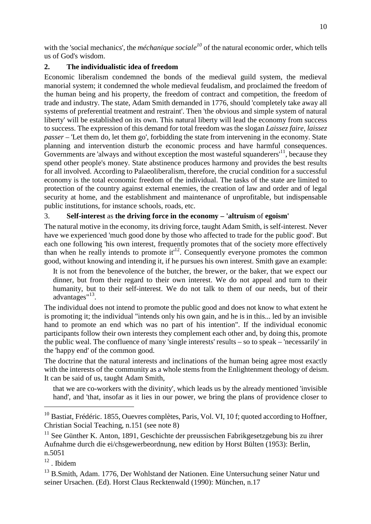with the 'social mechanics', the *méchanique sociale<sup>[10](#page-9-0)</sup>* of the natural economic order, which tells us of God's wisdom.

### **2. The individualistic idea of freedom**

Economic liberalism condemned the bonds of the medieval guild system, the medieval manorial system; it condemned the whole medieval feudalism, and proclaimed the freedom of the human being and his property, the freedom of contract and competition, the freedom of trade and industry. The state, Adam Smith demanded in 1776, should 'completely take away all systems of preferential treatment and restraint'. Then 'the obvious and simple system of natural liberty' will be established on its own. This natural liberty will lead the economy from success to success. The expression of this demand for total freedom was the slogan *Laissez faire, laissez passer –* 'Let them do, let them go', forbidding the state from intervening in the economy. State planning and intervention disturb the economic process and have harmful consequences. Governments are 'always and without exception the most wasteful squanderers $^{11}$  $^{11}$  $^{11}$ , because they spend other people's money. State abstinence produces harmony and provides the best results for all involved. According to Palaeoliberalism, therefore, the crucial condition for a successful economy is the total economic freedom of the individual. The tasks of the state are limited to protection of the country against external enemies, the creation of law and order and of legal security at home, and the establishment and maintenance of unprofitable, but indispensable public institutions, for instance schools, roads, etc.

# 3. **Self-interest** as **the driving force in the economy – 'altruism** of **egoism'**

The natural motive in the economy, its driving force, taught Adam Smith, is self-interest. Never have we experienced 'much good done by those who affected to trade for the public good'. But each one following 'his own interest, frequently promotes that of the society more effectively thanwhen he really intends to promote it<sup> $12$ </sup>. Consequently everyone promotes the common good, without knowing and intending it, if he pursues his own interest. Smith gave an example:

It is not from the benevolence of the butcher, the brewer, or the baker, that we expect our dinner, but from their regard to their own interest. We do not appeal and turn to their humanity, but to their self-interest. We do not talk to them of our needs, but of their advantages"<sup>[13](#page-9-3)</sup>.

The individual does not intend to promote the public good and does not know to what extent he is promoting it; the individual "intends only his own gain, and he is in this... led by an invisible hand to promote an end which was no part of his intention". If the individual economic participants follow their own interests they complement each other and, by doing this, promote the public weal. The confluence of many 'single interests' results – so to speak – 'necessarily' in the 'happy end' of the common good.

The doctrine that the natural interests and inclinations of the human being agree most exactly with the interests of the community as a whole stems from the Enlightenment theology of deism. It can be said of us, taught Adam Smith,

that we are co-workers with the divinity', which leads us by the already mentioned 'invisible hand', and 'that, insofar as it lies in our power, we bring the plans of providence closer to

<span id="page-9-0"></span><sup>&</sup>lt;sup>10</sup> Bastiat, Frédéric. 1855, Ouevres complètes, Paris, Vol. VI, 10 f; quoted according to Hoffner, Christian Social Teaching, n.151 (see note 8)

<span id="page-9-1"></span> $11$  See Günther K. Anton, 1891, Geschichte der preussischen Fabrikgesetzgebung bis zu ihrer Aufnahme durch die ei/chsgewerbeordnung, new edition by Horst Bülten (1953): Berlin, n.5051

<span id="page-9-2"></span> $12$  Ibidem

<span id="page-9-3"></span><sup>&</sup>lt;sup>13</sup> B.Smith, Adam. 1776, Der Wohlstand der Nationen. Eine Untersuchung seiner Natur und seiner Ursachen. (Ed). Horst Claus Recktenwald (1990): München, n.17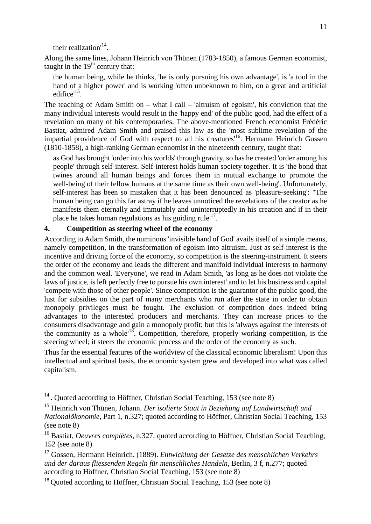their realization<sup>[14](#page-10-0)</sup>.

Along the same lines, Johann Heinrich von Thünen (1783-1850), a famous German economist, taught in the  $19<sup>th</sup>$  century that:

the human being, while he thinks, 'he is only pursuing his own advantage', is 'a tool in the hand of a higher power' and is working 'often unbeknown to him, on a great and artificial edifice'<sup>[15](#page-10-1)</sup>.

The teaching of Adam Smith on – what I call – 'altruism of egoism', his conviction that the many individual interests would result in the 'happy end' of the public good, had the effect of a revelation on many of his contemporaries. The above-mentioned French economist Frédéric Bastiat, admired Adam Smith and praised this law as the 'most sublime revelation of the impartial providence of God with respect to all his creatures<sup>[16](#page-10-2)</sup>. Hermann Heinrich Gossen (1810-1858), a high-ranking German economist in the nineteenth century, taught that:

as God has brought 'order into his worlds' through gravity, so has he created 'order among his people' through self-interest. Self-interest holds human society together. It is 'the bond that twines around all human beings and forces them in mutual exchange to promote the well-being of their fellow humans at the same time as their own well-being'. Unfortunately, self-interest has been so mistaken that it has been denounced as 'pleasure-seeking': "The human being can go this far astray if he leaves unnoticed the revelations of the creator as he manifests them eternally and immutably and uninterruptedly in his creation and if in their placehe takes human regulations as his guiding rule<sup>17</sup>.

## **4. Competition as steering wheel of the economy**

According to Adam Smith, the numinous 'invisible hand of God' avails itself of a simple means, namely competition, in the transformation of egoism into altruism. Just as self-interest is the incentive and driving force of the economy, so competition is the steering-instrument. It steers the order of the economy and leads the different and manifold individual interests to harmony and the common weal. 'Everyone', we read in Adam Smith, 'as long as he does not violate the laws of justice, is left perfectly free to pursue his own interest' and to let his business and capital 'compete with those of other people'. Since competition is the guarantor of the public good, the lust for subsidies on the part of many merchants who run after the state in order to obtain monopoly privileges must be fought. The exclusion of competition does indeed bring advantages to the interested producers and merchants. They can increase prices to the consumers disadvantage and gain a monopoly profit; but this is 'always against the interests of the community as a whole<sup> $18$ </sup>. Competition, therefore, properly working competition, is the steering wheel; it steers the economic process and the order of the economy as such.

Thus far the essential features of the worldview of the classical economic liberalism! Upon this intellectual and spiritual basis, the economic system grew and developed into what was called capitalism.

<span id="page-10-0"></span><sup>&</sup>lt;sup>14</sup>. Quoted according to Höffner, Christian Social Teaching, 153 (see note 8)

<span id="page-10-1"></span><sup>15</sup> Heinrich von Thünen, Johann. *Der isolierte Staat in Beziehung auf Landwirtschaft und Nationalökonomie,* Part 1, n.327; quoted according to Höffner, Christian Social Teaching, 153 (see note 8)

<span id="page-10-2"></span><sup>16</sup> Bastiat, *Oeuvres complètes,* n.327; quoted according to Höffner, Christian Social Teaching, 152 (see note 8)

<span id="page-10-3"></span><sup>17</sup> Gossen, Hermann Heinrich. (1889). *Entwicklung der Gesetze des menschlichen Verkehrs und der daraus fliessenden Regeln für menschliches Handeln,* Berlin, 3 f, n.277; quoted according to Höffner, Christian Social Teaching, 153 (see note 8)

<span id="page-10-4"></span><sup>&</sup>lt;sup>18</sup> Quoted according to Höffner, Christian Social Teaching, 153 (see note 8)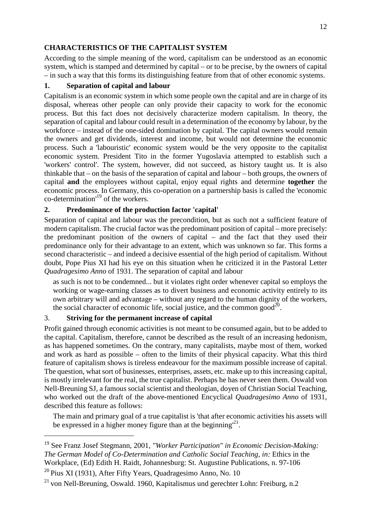## <span id="page-11-0"></span>**CHARACTERISTICS OF THE CAPITALIST SYSTEM**

According to the simple meaning of the word, capitalism can be understood as an economic system, which is stamped and determined by capital – or to be precise, by the owners of capital – in such a way that this forms its distinguishing feature from that of other economic systems.

## **1. Separation of capital and labour**

Capitalism is an economic system in which some people own the capital and are in charge of its disposal, whereas other people can only provide their capacity to work for the economic process. But this fact does not decisively characterize modern capitalism. In theory, the separation of capital and labour could result in a determination of the economy by labour, by the workforce – instead of the one-sided domination by capital. The capital owners would remain the owners and get dividends, interest and income, but would not determine the economic process. Such a 'labouristic' economic system would be the very opposite to the capitalist economic system. President Tito in the former Yugoslavia attempted to establish such a 'workers' control'. The system, however, did not succeed, as history taught us. It is also thinkable that – on the basis of the separation of capital and labour – both groups, the owners of capital **and** the employees without capital, enjoy equal rights and determine **together** the economic process. In Germany, this co-operation on a partnership basis is called the 'economic co-determination'[19](#page-11-1) of the workers.

## **2. Predominance of the production factor 'capital'**

Separation of capital and labour was the precondition, but as such not a sufficient feature of modern capitalism. The crucial factor was the predominant position of capital – more precisely: the predominant position of the owners of capital – and the fact that they used their predominance only for their advantage to an extent, which was unknown so far. This forms a second characteristic – and indeed a decisive essential of the high period of capitalism. Without doubt, Pope Pius XI had his eye on this situation when he criticized it in the Pastoral Letter *Quadragesimo Anno* of 1931. The separation of capital and labour

as such is not to be condemned... but it violates right order whenever capital so employs the working or wage-earning classes as to divert business and economic activity entirely to its own arbitrary will and advantage – without any regard to the human dignity of the workers, thesocial character of economic life, social justice, and the common good<sup>20</sup>.

# 3. **Striving for the permanent increase of capital**

Profit gained through economic activities is not meant to be consumed again, but to be added to the capital. Capitalism, therefore, cannot be described as the result of an increasing hedonism, as has happened sometimes. On the contrary, many capitalists, maybe most of them, worked and work as hard as possible – often to the limits of their physical capacity. What this third feature of capitalism shows is tireless endeavour for the maximum possible increase of capital. The question, what sort of businesses, enterprises, assets, etc. make up to this increasing capital, is mostly irrelevant for the real, the true capitalist. Perhaps he has never seen them. Oswald von Nell-Breuning SJ, a famous social scientist and theologian, doyen of Christian Social Teaching, who worked out the draft of the above-mentioned Encyclical *Quadragesimo Anno* of 1931, described this feature as follows:

The main and primary goal of a true capitalist is 'that after economic activities his assets will be expressed in a higher money figure than at the beginning $^{21}$  $^{21}$  $^{21}$ .

<span id="page-11-1"></span><sup>19</sup> See Franz Josef Stegmann, 2001, *"Worker Participation" in Economic Decision-Making: The German Model of Co-Determination and Catholic Social Teaching, in:* Ethics in the Workplace, (Ed) Edith H. Raidt, Johannesburg: St. Augustine Publications, n. 97-106

<span id="page-11-2"></span><sup>&</sup>lt;sup>20</sup> Pius XI (1931), After Fifty Years, Quadragesimo Anno, No. 10

<span id="page-11-3"></span> $^{21}$  von Nell-Breuning, Oswald. 1960, Kapitalismus und gerechter Lohn: Freiburg, n.2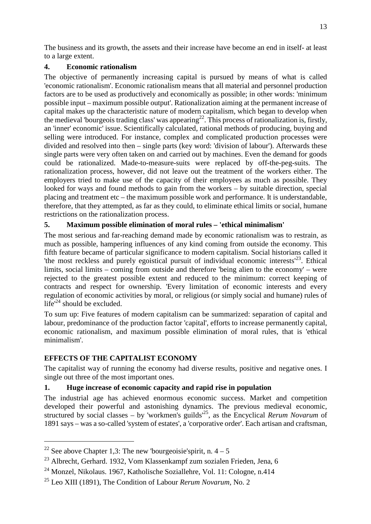<span id="page-12-0"></span>The business and its growth, the assets and their increase have become an end in itself- at least to a large extent.

## **4. Economic rationalism**

The objective of permanently increasing capital is pursued by means of what is called 'economic rationalism'. Economic rationalism means that all material and personnel production factors are to be used as productively and economically as possible; in other words: 'minimum possible input – maximum possible output'. Rationalization aiming at the permanent increase of capital makes up the characteristic nature of modern capitalism, which began to develop when the medieval 'bourgeois trading class' was appearing<sup>[22](#page-12-1)</sup>. This process of rationalization is, firstly, an 'inner' economic' issue. Scientifically calculated, rational methods of producing, buying and selling were introduced. For instance, complex and complicated production processes were divided and resolved into then – single parts (key word: 'division of labour'). Afterwards these single parts were very often taken on and carried out by machines. Even the demand for goods could be rationalized. Made-to-measure-suits were replaced by off-the-peg-suits. The rationalization process, however, did not leave out the treatment of the workers either. The employers tried to make use of the capacity of their employees as much as possible. They looked for ways and found methods to gain from the workers – by suitable direction, special placing and treatment etc – the maximum possible work and performance. It is understandable, therefore, that they attempted, as far as they could, to eliminate ethical limits or social, humane restrictions on the rationalization process.

# **5. Maximum possible elimination of moral rules – 'ethical minimalism'**

The most serious and far-reaching demand made by economic rationalism was to restrain, as much as possible, hampering influences of any kind coming from outside the economy. This fifth feature became of particular significance to modern capitalism. Social historians called it 'the most reckless and purely egoistical pursuit of individual economic interests $^{23}$  $^{23}$  $^{23}$ . Ethical limits, social limits – coming from outside and therefore 'being alien to the economy' – were rejected to the greatest possible extent and reduced to the minimum: correct keeping of contracts and respect for ownership. 'Every limitation of economic interests and every regulation of economic activities by moral, or religious (or simply social and humane) rules of life'[24](#page-12-3) should be excluded.

To sum up: Five features of modern capitalism can be summarized: separation of capital and labour, predominance of the production factor 'capital', efforts to increase permanently capital, economic rationalism, and maximum possible elimination of moral rules, that is 'ethical minimalism'.

# **EFFECTS OF THE CAPITALIST ECONOMY**

The capitalist way of running the economy had diverse results, positive and negative ones. I single out three of the most important ones.

# **1. Huge increase of economic capacity and rapid rise in population**

The industrial age has achieved enormous economic success. Market and competition developed their powerful and astonishing dynamics. The previous medieval economic, structured by social classes – by 'workmen's guilds<sup>[25](#page-12-4)</sup>, as the Encyclical *Rerum Novarum* of 1891 says – was a so-called 'system of estates', a 'corporative order'. Each artisan and craftsman,

<span id="page-12-1"></span><sup>&</sup>lt;sup>22</sup> See above Chapter 1,3: The new 'bourgeoisie's pirit, n.  $4-5$ 

<span id="page-12-2"></span><sup>23</sup> Albrecht, Gerhard. 1932, Vom Klassenkampf zum sozialen Frieden, Jena, 6

<span id="page-12-3"></span><sup>24</sup> Monzel, Nikolaus. 1967, Katholische Soziallehre, Vol. 11: Cologne, n.414

<span id="page-12-4"></span><sup>25</sup> Leo XIII (1891), The Condition of Labour *Rerum Novarum,* No. 2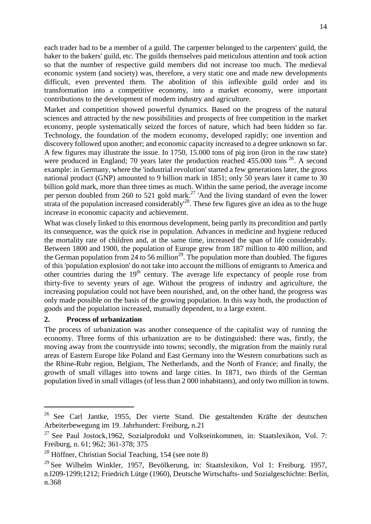each trader had to be a member of a guild. The carpenter belonged to the carpenters' guild, the baker to the bakers' guild, etc. The guilds themselves paid meticulous attention and took action so that the number of respective guild members did not increase too much. The medieval economic system (and society) was, therefore, a very static one and made new developments difficult, even prevented them. The abolition of this inflexible guild order and its transformation into a competitive economy, into a market economy, were important contributions to the development of modern industry and agriculture.

Market and competition showed powerful dynamics. Based on the progress of the natural sciences and attracted by the new possibilities and prospects of free competition in the market economy, people systematically seized the forces of nature, which had been hidden so far. Technology, the foundation of the modern economy, developed rapidly; one invention and discovery followed upon another; and economic capacity increased to a degree unknown so far. A few figures may illustrate the issue. In 1750, 15.000 tons of pig iron (iron in the raw state) wereproduced in England; 70 years later the production reached  $455.000$  tons <sup>26</sup>. A second example: in Germany, where the 'industrial revolution' started a few generations later, the gross national product (GNP) amounted to 9 billion mark in 1851; only 50 years later it came to 30 billion gold mark, more than three times as much. Within the same period, the average income per person doubled from 260 to 521 gold mark.<sup>[27](#page-13-1)</sup> 'And the living standard of even the lower  $\frac{1}{2}$  strata of the population increased considerably<sup>[28](#page-13-2)</sup>. These few figures give an idea as to the huge increase in economic capacity and achievement.

What was closely linked to this enormous development, being partly its precondition and partly its consequence, was the quick rise in population. Advances in medicine and hygiene reduced the mortality rate of children and, at the same time, increased the span of life considerably. Between 1800 and 1900, the population of Europe grew from 187 million to 400 million, and the German population from 24 to 56 million<sup>[29](#page-13-3)</sup>. The population more than doubled. The figures of this 'population explosion' do not take into account the millions of emigrants to America and other countries during the  $19<sup>th</sup>$  century. The average life expectancy of people rose from thirty-five to seventy years of age. Without the progress of industry and agriculture, the increasing population could not have been nourished, and, on the other hand, the progress was only made possible on the basis of the growing population. In this way both, the production of goods and the population increased, mutually dependent, to a large extent.

#### **2. Process of urbanization**

The process of urbanization was another consequence of the capitalist way of running the economy. Three forms of this urbanization are to be distinguished: there was, firstly, the moving away from the countryside into towns; secondly, the migration from the mainly rural areas of Eastern Europe like Poland and East Germany into the Western conurbations such as the Rhine-Ruhr region, Belgium, The Netherlands, and the North of France; and finally, the growth of small villages into towns and large cities. In 1871, two thirds of the German population lived in small villages (of less than 2 000 inhabitants), and only two million in towns.

<span id="page-13-0"></span><sup>&</sup>lt;sup>26</sup> See Carl Jantke, 1955, Der vierte Stand. Die gestaltenden Kräfte der deutschen Arbeiterbewegung im 19. Jahrhundert: Freiburg, n.21

<span id="page-13-1"></span> $27$  See Paul Jostock, 1962, Sozialprodukt und Volkseinkommen, in: Staatslexikon, Vol. 7: Freiburg, n. 61; 962; 361-378; 375

<span id="page-13-2"></span><sup>28</sup> Höffner, Christian Social Teaching, 154 (see note 8)

<span id="page-13-3"></span><sup>29</sup> See Wilhelm Winkler, 1957, Bevölkerung, in: Staatslexikon, Vol 1: Freiburg. 1957, n.l209-1299;1212; Friedrich Lütge (1960), Deutsche Wirtschafts- und Sozialgeschichte: Berlin, n.368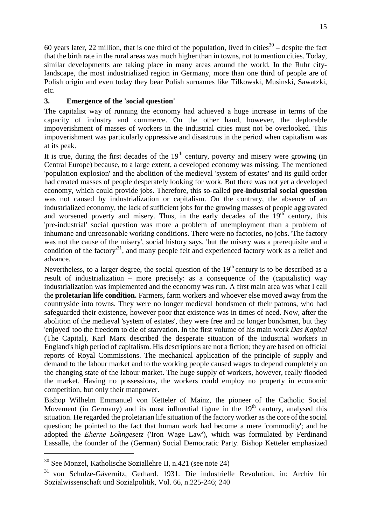60 years later, 22 million, that is one third of the population, lived in cities $30 30 -$  despite the fact that the birth rate in the rural areas was much higher than in towns, not to mention cities. Today, similar developments are taking place in many areas around the world. In the Ruhr citylandscape, the most industrialized region in Germany, more than one third of people are of Polish origin and even today they bear Polish surnames like Tilkowski, Musinski, Sawatzki, etc.

## **3. Emergence of the 'social question'**

The capitalist way of running the economy had achieved a huge increase in terms of the capacity of industry and commerce. On the other hand, however, the deplorable impoverishment of masses of workers in the industrial cities must not be overlooked. This impoverishment was particularly oppressive and disastrous in the period when capitalism was at its peak.

It is true, during the first decades of the  $19<sup>th</sup>$  century, poverty and misery were growing (in Central Europe) because, to a large extent, a developed economy was missing. The mentioned 'population explosion' and the abolition of the medieval 'system of estates' and its guild order had created masses of people desperately looking for work. But there was not yet a developed economy, which could provide jobs. Therefore, this so-called **pre-industrial social question** was not caused by industrialization or capitalism. On the contrary, the absence of an industrialized economy, the lack of sufficient jobs for the growing masses of people aggravated and worsened poverty and misery. Thus, in the early decades of the 19<sup>th</sup> century, this 'pre-industrial' social question was more a problem of unemployment than a problem of inhumane and unreasonable working conditions. There were no factories, no jobs. 'The factory was not the cause of the misery', social history says, 'but the misery was a prerequisite and a condition of the factory'[31](#page-14-1), and many people felt and experienced factory work as a relief and advance.

Nevertheless, to a larger degree, the social question of the  $19<sup>th</sup>$  century is to be described as a result of industrialization – more precisely: as a consequence of the (capitalistic) way industrialization was implemented and the economy was run. A first main area was what I call the **proletarian life condition.** Farmers, farm workers and whoever else moved away from the countryside into towns. They were no longer medieval bondsmen of their patrons, who had safeguarded their existence, however poor that existence was in times of need. Now, after the abolition of the medieval 'system of estates', they were free and no longer bondsmen, but they 'enjoyed' too the freedom to die of starvation. In the first volume of his main work *Das Kapital* (The Capital), Karl Marx described the desperate situation of the industrial workers in England's high period of capitalism. His descriptions are not a fiction; they are based on official reports of Royal Commissions. The mechanical application of the principle of supply and demand to the labour market and to the working people caused wages to depend completely on the changing state of the labour market. The huge supply of workers, however, really flooded the market. Having no possessions, the workers could employ no property in economic competition, but only their manpower.

Bishop Wilhelm Emmanuel von Ketteler of Mainz, the pioneer of the Catholic Social Movement (in Germany) and its most influential figure in the  $19<sup>th</sup>$  century, analysed this situation. He regarded the proletarian life situation of the factory worker as the core of the social question; he pointed to the fact that human work had become a mere 'commodity'; and he adopted the *Eherne Lohngesetz* ('Iron Wage Law'), which was formulated by Ferdinand Lassalle, the founder of the (German) Social Democratic Party. Bishop Ketteler emphasized

<span id="page-14-0"></span><sup>30</sup> See Monzel, Katholische Soziallehre II, n.421 (see note 24)

<span id="page-14-1"></span><sup>31</sup> von Schulze-Gävernitz, Gerhard. 1931. Die industrielle Revolution, in: Archiv für Sozialwissenschaft und Sozialpolitik, Vol. 66, n.225-246; 240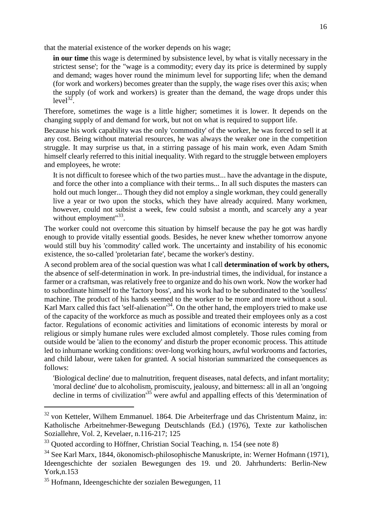that the material existence of the worker depends on his wage;

**in our time** this wage is determined by subsistence level, by what is vitally necessary in the strictest sense'; for the "wage is a commodity; every day its price is determined by supply and demand; wages hover round the minimum level for supporting life; when the demand (for work and workers) becomes greater than the supply, the wage rises over this axis; when the supply (of work and workers) is greater than the demand, the wage drops under this  $level^{32}$  $level^{32}$  $level^{32}$ .

Therefore, sometimes the wage is a little higher; sometimes it is lower. It depends on the changing supply of and demand for work, but not on what is required to support life.

Because his work capability was the only 'commodity' of the worker, he was forced to sell it at any cost. Being without material resources, he was always the weaker one in the competition struggle. It may surprise us that, in a stirring passage of his main work, even Adam Smith himself clearly referred to this initial inequality. With regard to the struggle between employers and employees, he wrote:

It is not difficult to foresee which of the two parties must... have the advantage in the dispute, and force the other into a compliance with their terms... In all such disputes the masters can hold out much longer... Though they did not employ a single workman, they could generally live a year or two upon the stocks, which they have already acquired. Many workmen, however, could not subsist a week, few could subsist a month, and scarcely any a year without employment"<sup>[33](#page-15-1)</sup>.

The worker could not overcome this situation by himself because the pay he got was hardly enough to provide vitally essential goods. Besides, he never knew whether tomorrow anyone would still buy his 'commodity' called work. The uncertainty and instability of his economic existence, the so-called 'proletarian fate', became the worker's destiny.

A second problem area of the social question was what I call **determination of work by others,** the absence of self-determination in work. In pre-industrial times, the individual, for instance a farmer or a craftsman, was relatively free to organize and do his own work. Now the worker had to subordinate himself to the 'factory boss', and his work had to be subordinated to the 'soulless' machine. The product of his hands seemed to the worker to be more and more without a soul. Karl Marx called this fact 'self-alienation<sup>[34](#page-15-2)</sup>. On the other hand, the employers tried to make use of the capacity of the workforce as much as possible and treated their employees only as a cost factor. Regulations of economic activities and limitations of economic interests by moral or religious or simply humane rules were excluded almost completely. Those rules coming from outside would be 'alien to the economy' and disturb the proper economic process. This attitude led to inhumane working conditions: over-long working hours, awful workrooms and factories, and child labour, were taken for granted. A social historian summarized the consequences as follows:

'Biological decline' due to malnutrition, frequent diseases, natal defects, and infant mortality; 'moral decline' due to alcoholism, promiscuity, jealousy, and bitterness: all in all an 'ongoing decline in terms of civilization<sup>[35](#page-15-3)</sup> were awful and appalling effects of this 'determination of

<span id="page-15-0"></span><sup>&</sup>lt;sup>32</sup> von Ketteler, Wilhem Emmanuel. 1864. Die Arbeiterfrage und das Christentum Mainz, in: Katholische Arbeitnehmer-Bewegung Deutschlands (Ed.) (1976), Texte zur katholischen Soziallehre, Vol. 2, Kevelaer, n.116-217; 125

<span id="page-15-1"></span><sup>&</sup>lt;sup>33</sup> Ouoted according to Höffner, Christian Social Teaching, n. 154 (see note 8)

<span id="page-15-2"></span><sup>34</sup> See Karl Marx, 1844, ökonomisch-philosophische Manuskripte, in: Werner Hofmann (1971), Ideengeschichte der sozialen Bewegungen des 19. und 20. Jahrhunderts: Berlin-New York,n.153

<span id="page-15-3"></span><sup>35</sup> Hofmann, Ideengeschichte der sozialen Bewegungen, 11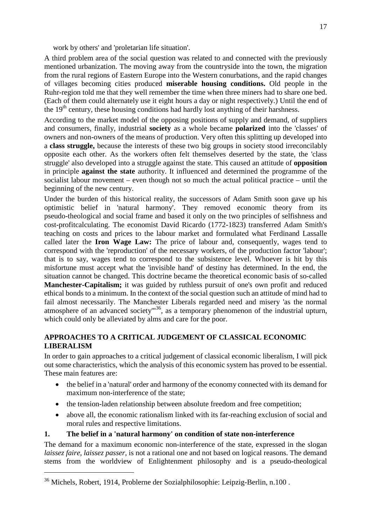work by others' and 'proletarian life situation'.

<span id="page-16-0"></span>A third problem area of the social question was related to and connected with the previously mentioned urbanization. The moving away from the countryside into the town, the migration from the rural regions of Eastern Europe into the Western conurbations, and the rapid changes of villages becoming cities produced **miserable housing conditions.** Old people in the Ruhr-region told me that they well remember the time when three miners had to share one bed. (Each of them could alternately use it eight hours a day or night respectively.) Until the end of the  $19<sup>th</sup>$  century, these housing conditions had hardly lost anything of their harshness.

According to the market model of the opposing positions of supply and demand, of suppliers and consumers, finally, industrial **society** as a whole became **polarized** into the 'classes' of owners and non-owners of the means of production. Very often this splitting up developed into a **class struggle,** because the interests of these two big groups in society stood irreconcilably opposite each other. As the workers often felt themselves deserted by the state, the 'class struggle' also developed into a struggle against the state. This caused an attitude of **opposition** in principle **against the state** authority. It influenced and determined the programme of the socialist labour movement – even though not so much the actual political practice – until the beginning of the new century.

Under the burden of this historical reality, the successors of Adam Smith soon gave up his optimistic belief in 'natural harmony'. They removed economic theory from its pseudo-theological and social frame and based it only on the two principles of selfishness and cost-profitcalculating. The economist David Ricardo (1772-1823) transferred Adam Smith's teaching on costs and prices to the labour market and formulated what Ferdinand Lassalle called later the **Iron Wage Law:** The price of labour and, consequently, wages tend to correspond with the 'reproduction' of the necessary workers, of the production factor 'labour'; that is to say, wages tend to correspond to the subsistence level. Whoever is hit by this misfortune must accept what the 'invisible hand' of destiny has determined. In the end, the situation cannot be changed. This doctrine became the theoretical economic basis of so-called **Manchester-Capitalism;** it was guided by ruthless pursuit of one's own profit and reduced ethical bonds to a minimum. In the context of the social question such an attitude of mind had to fail almost necessarily. The Manchester Liberals regarded need and misery 'as the normal atmosphere of an advanced society'"[36](#page-16-1), as a temporary phenomenon of the industrial upturn, which could only be alleviated by alms and care for the poor.

#### **APPROACHES TO A CRITICAL JUDGEMENT OF CLASSICAL ECONOMIC LIBERALISM**

In order to gain approaches to a critical judgement of classical economic liberalism, I will pick out some characteristics, which the analysis of this economic system has proved to be essential. These main features are:

- the belief in a 'natural' order and harmony of the economy connected with its demand for maximum non-interference of the state;
- the tension-laden relationship between absolute freedom and free competition;
- above all, the economic rationalism linked with its far-reaching exclusion of social and moral rules and respective limitations.

#### **1. The belief in a 'natural harmony' on condition of state non-interference**

The demand for a maximum economic non-interference of the state, expressed in the slogan *laissez faire, laissez passer,* is not a rational one and not based on logical reasons. The demand stems from the worldview of Enlightenment philosophy and is a pseudo-theological

<span id="page-16-1"></span><sup>36</sup> Michels, Robert, 1914, Problerne der Sozialphilosophie: Leipzig-Berlin, n.100 .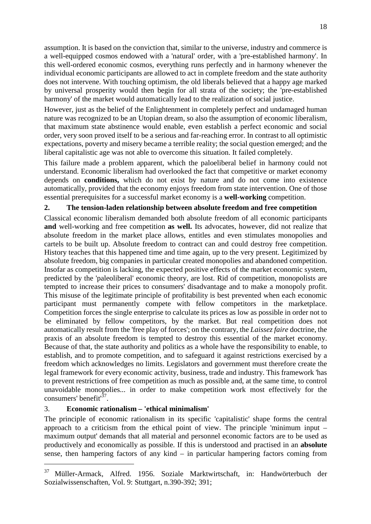assumption. It is based on the conviction that, similar to the universe, industry and commerce is a well-equipped cosmos endowed with a 'natural' order, with a 'pre-established harmony'. In this well-ordered economic cosmos, everything runs perfectly and in harmony whenever the individual economic participants are allowed to act in complete freedom and the state authority does not intervene. With touching optimism, the old liberals believed that a happy age marked by universal prosperity would then begin for all strata of the society; the 'pre-established harmony' of the market would automatically lead to the realization of social justice.

However, just as the belief of the Enlightenment in completely perfect and undamaged human nature was recognized to be an Utopian dream, so also the assumption of economic liberalism, that maximum state abstinence would enable, even establish a perfect economic and social order, very soon proved itself to be a serious and far-reaching error. In contrast to all optimistic expectations, poverty and misery became a terrible reality; the social question emerged; and the liberal capitalistic age was not able to overcome this situation. It failed completely.

This failure made a problem apparent, which the paloeliberal belief in harmony could not understand. Economic liberalism had overlooked the fact that competitive or market economy depends on **conditions,** which do not exist by nature and do not come into existence automatically, provided that the economy enjoys freedom from state intervention. One of those essential prerequisites for a successful market economy is a **well-working** competition.

## **2. The tension-laden relationship between absolute freedom and free competition**

Classical economic liberalism demanded both absolute freedom of all economic participants and well-working and free competition **as well.** Its advocates, however, did not realize that absolute freedom in the market place allows, entitles and even stimulates monopolies and cartels to be built up. Absolute freedom to contract can and could destroy free competition. History teaches that this happened time and time again, up to the very present. Legitimized by absolute freedom, big companies in particular created monopolies and abandoned competition. Insofar as competition is lacking, the expected positive effects of the market economic system, predicted by the 'paleoliberal' economic theory, are lost. Rid of competition, monopolists are tempted to increase their prices to consumers' disadvantage and to make a monopoly profit. This misuse of the legitimate principle of profitability is best prevented when each economic participant must permanently compete with fellow competitors in the marketplace. Competition forces the single enterprise to calculate its prices as low as possible in order not to be eliminated by fellow competitors, by the market. But real competition does not automatically result from the 'free play of forces'; on the contrary, the *Laissez faire* doctrine, the praxis of an absolute freedom is tempted to destroy this essential of the market economy. Because of that, the state authority and politics as a whole have the responsibility to enable, to establish, and to promote competition, and to safeguard it against restrictions exercised by a freedom which acknowledges no limits. Legislators and government must therefore create the legal framework for every economic activity, business, trade and industry. This framework 'has to prevent restrictions of free competition as much as possible and, at the same time, to control unavoidable monopolies... in order to make competition work most effectively for the consumers' benefit<sup>3</sup> .

#### 3. **Economic rationalism – 'ethical minimalism'**

The principle of economic rationalism in its specific 'capitalistic' shape forms the central approach to a criticism from the ethical point of view. The principle 'minimum input – maximum output' demands that all material and personnel economic factors are to be used as productively and economically as possible. If this is understood and practised in an **absolute** sense, then hampering factors of any kind – in particular hampering factors coming from

<span id="page-17-0"></span><sup>37</sup> Müller-Armack, Alfred. 1956. Soziale Marktwirtschaft, in: Handwörterbuch der Sozialwissenschaften, Vol. 9: Stuttgart, n.390-392; 391;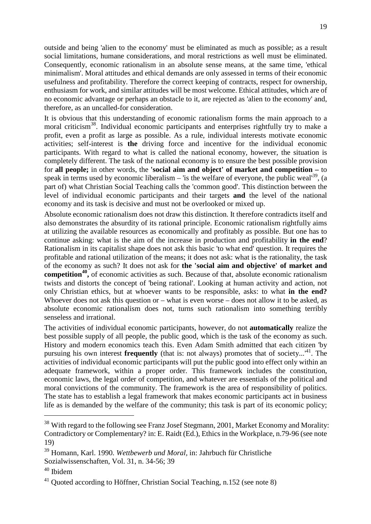outside and being 'alien to the economy' must be eliminated as much as possible; as a result social limitations, humane considerations, and moral restrictions as well must be eliminated. Consequently, economic rationalism in an absolute sense means, at the same time, 'ethical minimalism'. Moral attitudes and ethical demands are only assessed in terms of their economic usefulness and profitability. Therefore the correct keeping of contracts, respect for ownership, enthusiasm for work, and similar attitudes will be most welcome. Ethical attitudes, which are of no economic advantage or perhaps an obstacle to it, are rejected as 'alien to the economy' and, therefore, as an uncalled-for consideration.

It is obvious that this understanding of economic rationalism forms the main approach to a moral criticism<sup>[38](#page-18-0)</sup>. Individual economic participants and enterprises rightfully try to make a profit, even a profit as large as possible. As a rule, individual interests motivate economic activities; self-interest is **the** driving force and incentive for the individual economic participants. With regard to what is called the national economy, however, the situation is completely different. The task of the national economy is to ensure the best possible provision for **all people;** in other words, the **'social aim and object' of market and competition –** to speakin terms used by economic liberalism – 'is the welfare of everyone, the public weal'<sup>39</sup>, (a part of) what Christian Social Teaching calls the 'common good'. This distinction between the level of individual economic participants and their targets **and** the level of the national economy and its task is decisive and must not be overlooked or mixed up.

Absolute economic rationalism does not draw this distinction. It therefore contradicts itself and also demonstrates the absurdity of its rational principle. Economic rationalism rightfully aims at utilizing the available resources as economically and profitably as possible. But one has to continue asking: what is the aim of the increase in production and profitability **in the end**? Rationalism in its capitalist shape does not ask this basic 'to what end' question. It requires the profitable and rational utilization of the means; it does not ask: what is the rationality, the task of the economy as such? It does not ask for **the 'social aim and objective' of market and competition[40](#page-18-2) ,** of economic activities as such. Because of that, absolute economic rationalism twists and distorts the concept of 'being rational'. Looking at human activity and action, not only Christian ethics, but at whoever wants to be responsible, asks: to what **in the end?** Whoever does not ask this question or  $-$  what is even worse  $-$  does not allow it to be asked, as absolute economic rationalism does not, turns such rationalism into something terribly senseless and irrational.

The activities of individual economic participants, however, do not **automatically** realize the best possible supply of all people, the public good, which is the task of the economy as such. History and modern economics teach this. Even Adam Smith admitted that each citizen 'by pursuing his own interest **frequently** (that is: not always) promotes that of society...<sup>[41](#page-18-3)</sup>. The activities of individual economic participants will put the public good into effect only within an adequate framework, within a proper order. This framework includes the constitution, economic laws, the legal order of competition, and whatever are essentials of the political and moral convictions of the community. The framework is the area of responsibility of politics. The state has to establish a legal framework that makes economic participants act in business life as is demanded by the welfare of the community; this task is part of its economic policy;

<span id="page-18-0"></span><sup>&</sup>lt;sup>38</sup> With regard to the following see Franz Josef Stegmann, 2001, Market Economy and Morality: Contradictory or Complementary? in: E. Raidt (Ed.), Ethics in the Workplace, n.79-96 (see note 19)

<span id="page-18-1"></span><sup>39</sup> Homann, Karl. 1990. *Wettbewerb und Moral,* in: Jahrbuch für Christliche Sozialwissenschaften, Vol. 31, n. 34-56; 39

<span id="page-18-2"></span><sup>40</sup> Ibidem

<span id="page-18-3"></span> $41$  Quoted according to Höffner, Christian Social Teaching, n.152 (see note 8)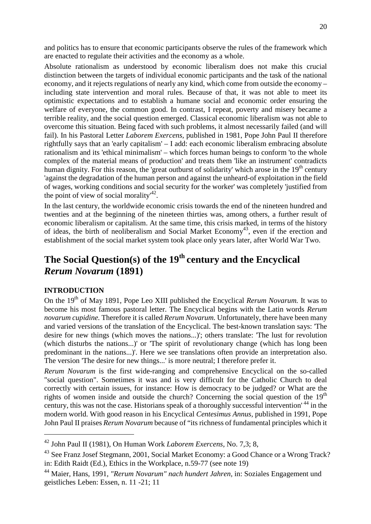<span id="page-19-0"></span>and politics has to ensure that economic participants observe the rules of the framework which are enacted to regulate their activities and the economy as a whole.

Absolute rationalism as understood by economic liberalism does not make this crucial distinction between the targets of individual economic participants and the task of the national economy, and it rejects regulations of nearly any kind, which come from outside the economy – including state intervention and moral rules. Because of that, it was not able to meet its optimistic expectations and to establish a humane social and economic order ensuring the welfare of everyone, the common good. In contrast, I repeat, poverty and misery became a terrible reality, and the social question emerged. Classical economic liberalism was not able to overcome this situation. Being faced with such problems, it almost necessarily failed (and will fail). In his Pastoral Letter *Laborem Exercens,* published in 1981, Pope John Paul II therefore rightfully says that an 'early capitalism' – I add: each economic liberalism embracing absolute rationalism and its 'ethical minimalism' – which forces human beings to conform 'to the whole complex of the material means of production' and treats them 'like an instrument' contradicts human dignity. For this reason, the 'great outburst of solidarity' which arose in the  $19<sup>th</sup>$  century 'against the degradation of the human person and against the unheard-of exploitation in the field of wages, working conditions and social security for the worker' was completely 'justified from the point of view of social morality $^{42}$  $^{42}$  $^{42}$ .

In the last century, the worldwide economic crisis towards the end of the nineteen hundred and twenties and at the beginning of the nineteen thirties was, among others, a further result of economic liberalism or capitalism. At the same time, this crisis marked, in terms of the history of ideas, the birth of neoliberalism and Social Market Economy<sup>[43](#page-19-2)</sup>, even if the erection and establishment of the social market system took place only years later, after World War Two.

# **The Social Question(s) of the 19th century and the Encyclical** *Rerum Novarum* **(1891)**

#### **INTRODUCTION**

On the 19<sup>th</sup> of May 1891, Pope Leo XIII published the Encyclical *Rerum Novarum*. It was to become his most famous pastoral letter. The Encyclical begins with the Latin words *Rerum novarum cupidine.* Therefore it is called *Rerum Novarum.* Unfortunately, there have been many and varied versions of the translation of the Encyclical. The best-known translation says: 'The desire for new things (which moves the nations...)'; others translate: 'The lust for revolution (which disturbs the nations...)' or 'The spirit of revolutionary change (which has long been predominant in the nations...)'. Here we see translations often provide an interpretation also. The version 'The desire for new things...' is more neutral; I therefore prefer it.

*Rerum Novarum* is the first wide-ranging and comprehensive Encyclical on the so-called "social question". Sometimes it was and is very difficult for the Catholic Church to deal correctly with certain issues, for instance: How is democracy to be judged? or What are the rights of women inside and outside the church? Concerning the social question of the  $19<sup>th</sup>$ century, this was not the case. Historians speak of a thoroughly successful intervention' [44](#page-19-3) in the modern world. With good reason in his Encyclical *Centesimus Annus,* published in 1991, Pope John Paul II praises *Rerum Novarum* because of "its richness of fundamental principles which it

<span id="page-19-1"></span><sup>42</sup> John Paul II (1981), On Human Work *Laborem Exercens,* No. 7,3; 8,

<span id="page-19-2"></span><sup>&</sup>lt;sup>43</sup> See Franz Josef Stegmann, 2001, Social Market Economy: a Good Chance or a Wrong Track? in: Edith Raidt (Ed.), Ethics in the Workplace, n.59-77 (see note 19)

<span id="page-19-3"></span><sup>44</sup> Maier, Hans, 1991, *"Rerum Novarum" nach hundert Jahren,* in: Soziales Engagement und geistliches Leben: Essen, n. 11 -21; 11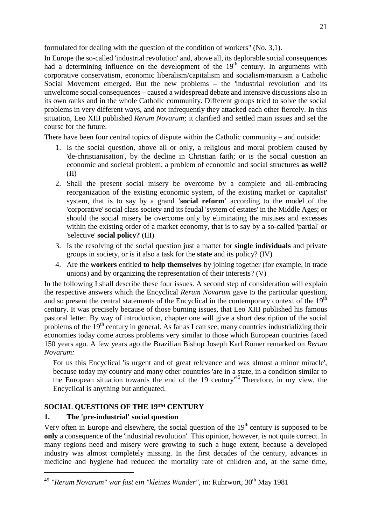<span id="page-20-0"></span>formulated for dealing with the question of the condition of workers" (No. 3,1).

In Europe the so-called 'industrial revolution' and, above all, its deplorable social consequences had a determining influence on the development of the  $19<sup>th</sup>$  century. In arguments with corporative conservatism, economic liberalism/capitalism and socialism/marxism a Catholic Social Movement emerged. But the new problems – the 'industrial revolution' and its unwelcome social consequences – caused a widespread debate and intensive discussions also in its own ranks and in the whole Catholic community. Different groups tried to solve the social problems in very different ways, and not infrequently they attacked each other fiercely. In this situation, Leo XIII published *Rerum Novarum;* it clarified and settled main issues and set the course for the future.

There have been four central topics of dispute within the Catholic community – and outside:

- 1. Is the social question, above all or only, a religious and moral problem caused by 'de-christianisation', by the decline in Christian faith; or is the social question an economic and societal problem, a problem of economic and social structures **as well?** (II)
- 2. Shall the present social misery be overcome by a complete and all-embracing reorganization of the existing economic system, of the existing market or 'capitalist' system, that is to say by a grand **'social reform'** according to the model of the 'corporative' social class society and its feudal 'system of estates' in the Middle Ages; or should the social misery be overcome only by eliminating the misuses and excesses within the existing order of a market economy, that is to say by a so-called 'partial' or 'selective' **social policy?** (III)
- 3. Is the resolving of the social question just a matter for **single individuals** and private groups in society, or is it also a task for the **state** and its policy? (IV)
- 4. Are the **workers** entitled **to help themselves** by joining together (for example, in trade unions) and by organizing the representation of their interests? (V)

In the following I shall describe these four issues. A second step of consideration will explain the respective answers which the Encyclical *Rerum Novarum* gave to the particular question, and so present the central statements of the Encyclical in the contemporary context of the 19<sup>th</sup> century. It was precisely because of those burning issues, that Leo XIII published his famous pastoral letter. By way of introduction, chapter one will give a short description of the social problems of the  $19<sup>th</sup>$  century in general. As far as I can see, many countries industrializing their economies today come across problems very similar to those which European countries faced 150 years ago. A few years ago the Brazilian Bishop Joseph Karl Romer remarked on *Rerum Novarum:*

For us this Encyclical 'is urgent and of great relevance and was almost a minor miracle', because today my country and many other countries 'are in a state, in a condition similar to the European situation towards the end of the 19 century'[45](#page-20-1) Therefore, in my view, the Encyclical is anything but antiquated.

# **SOCIAL QUESTIONS OF THE 19™ CENTURY**

# **1. The 'pre-industrial' social question**

Very often in Europe and elsewhere, the social question of the 19<sup>th</sup> century is supposed to be **only** a consequence of the 'industrial revolution'. This opinion, however, is not quite correct. In many regions need and misery were growing to such a huge extent, because a developed industry was almost completely missing. In the first decades of the century, advances in medicine and hygiene had reduced the mortality rate of children and, at the same time,

<span id="page-20-1"></span><sup>&</sup>lt;sup>45</sup> "Rerum Novarum" war fast ein "kleines Wunder", in: Ruhrwort, 30<sup>th</sup> May 1981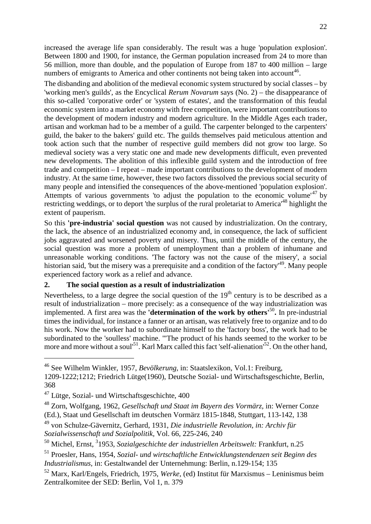increased the average life span considerably. The result was a huge 'population explosion'. Between 1800 and 1900, for instance, the German population increased from 24 to more than 56 million, more than double, and the population of Europe from 187 to 400 million – large numbers of emigrants to America and other continents not being taken into account<sup>[46](#page-21-0)</sup>.

The disbanding and abolition of the medieval economic system structured by social classes – by 'working men's guilds', as the Encyclical *Rerum Novarum* says (No. 2) – the disappearance of this so-called 'corporative order' or 'system of estates', and the transformation of this feudal economic system into a market economy with free competition, were important contributions to the development of modern industry and modern agriculture. In the Middle Ages each trader, artisan and workman had to be a member of a guild. The carpenter belonged to the carpenters' guild, the baker to the bakers' guild etc. The guilds themselves paid meticulous attention and took action such that the number of respective guild members did not grow too large. So medieval society was a very static one and made new developments difficult, even prevented new developments. The abolition of this inflexible guild system and the introduction of free trade and competition – I repeat – made important contributions to the development of modern industry. At the same time, however, these two factors dissolved the previous social security of many people and intensified the consequences of the above-mentioned 'population explosion'. Attempts of various governments 'to adjust the population to the economic volume'<sup>[47](#page-21-1)</sup> by restricting weddings, or to deport 'the surplus of the rural proletariat to America<sup>[48](#page-21-2)</sup> highlight the extent of pauperism.

So this **'pre-industria' social question** was not caused by industrialization. On the contrary, the lack, the absence of an industrialized economy and, in consequence, the lack of sufficient jobs aggravated and worsened poverty and misery. Thus, until the middle of the century, the social question was more a problem of unemployment than a problem of inhumane and unreasonable working conditions. 'The factory was not the cause of the misery', a social historian said, 'but the misery was a prerequisite and a condition of the factory<sup>[49](#page-21-3)</sup>. Many people experienced factory work as a relief and advance.

#### **2. The social question as a result of industrialization**

Nevertheless, to a large degree the social question of the  $19<sup>th</sup>$  century is to be described as a result of industrialization – more precisely: as a consequence of the way industrialization was implemented. A first area was the **'determination of the work by others'**[50](#page-21-4) **.** In pre-industrial times the individual, for instance a fanner or an artisan, was relatively free to organize and to do his work. Now the worker had to subordinate himself to the 'factory boss', the work had to be subordinated to the 'soulless' machine. '"The product of his hands seemed to the worker to be moreand more without a soul<sup>51</sup>[.](#page-21-6) Karl Marx called this fact 'self-alienation<sup>52</sup>. On the other hand,

<span id="page-21-0"></span><sup>46</sup> See Wilhelm Winkler, 1957, *Bevölkerung,* in: Staatslexikon, Vol.1: Freiburg,

<sup>1209-1222;1212;</sup> Friedrich Lütge(1960), Deutsche Sozial- und Wirtschaftsgeschichte, Berlin, 368

<span id="page-21-1"></span><sup>47</sup> Lütge, Sozial- und Wirtschaftsgeschichte, 400

<span id="page-21-2"></span><sup>48</sup> Zorn, Wolfgang, 1962, *Gesellschaft und Staat im Bayern des Vormärz,* in: Werner Conze (Ed.), Staat und Gesellschaft im deutschen Vormärz 1815-1848, Stuttgart, 113-142, 138

<span id="page-21-3"></span><sup>49</sup> von Schulze-Gävernitz, Gerhard, 1931, *Die industrielle Revolution, in: Archiv für Sozialwissenschaft und Sozialpolitik,* Vol. 66, 225-246, 240

<span id="page-21-4"></span><sup>&</sup>lt;sup>50</sup> Michel, Ernst, <sup>3</sup>1953, *Sozialgeschichte der industriellen Arbeitswelt:* Frankfurt, n.25

<span id="page-21-5"></span><sup>51</sup> Proesler, Hans, 1954, *Sozial- und wirtschaftliche Entwicklungstendenzen seit Beginn des Industrialismus,* in: Gestaltwandel der Unternehmung: Berlin, n.129-154; 135

<span id="page-21-6"></span><sup>52</sup> Marx, Karl/Engels, Friedrich, 1975, *Werke,* (ed) Institut für Marxismus – Leninismus beim Zentralkomitee der SED: Berlin, Vol 1, n. 379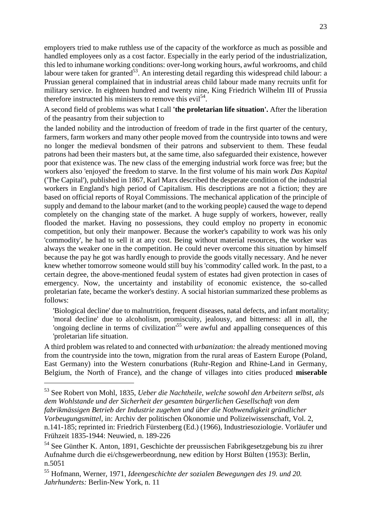employers tried to make ruthless use of the capacity of the workforce as much as possible and handled employees only as a cost factor. Especially in the early period of the industrialization, this led to inhumane working conditions: over-long working hours, awful workrooms, and child labour were taken for granted<sup>[53](#page-22-0)</sup>. An interesting detail regarding this widespread child labour: a Prussian general complained that in industrial areas child labour made many recruits unfit for military service. In eighteen hundred and twenty nine, King Friedrich Wilhelm III of Prussia thereforeinstructed his ministers to remove this evi[l](#page-22-1)<sup>54</sup>.

A second field of problems was what I call **'the proletarian life situation'.** After the liberation of the peasantry from their subjection to

the landed nobility and the introduction of freedom of trade in the first quarter of the century, farmers, farm workers and many other people moved from the countryside into towns and were no longer the medieval bondsmen of their patrons and subservient to them. These feudal patrons had been their masters but, at the same time, also safeguarded their existence, however poor that existence was. The new class of the emerging industrial work force was free; but the workers also 'enjoyed' the freedom to starve. In the first volume of his main work *Das Kapital* ('The Capital'), published in 1867, Karl Marx described the desperate condition of the industrial workers in England's high period of Capitalism. His descriptions are not a fiction; they are based on official reports of Royal Commissions. The mechanical application of the principle of supply and demand to the labour market (and to the working people) caused the wage to depend completely on the changing state of the market. A huge supply of workers, however, really flooded the market. Having no possessions, they could employ no property in economic competition, but only their manpower. Because the worker's capability to work was his only 'commodity', he had to sell it at any cost. Being without material resources, the worker was always the weaker one in the competition. He could never overcome this situation by himself because the pay he got was hardly enough to provide the goods vitally necessary. And he never knew whether tomorrow someone would still buy his 'commodity' called work. In the past, to a certain degree, the above-mentioned feudal system of estates had given protection in cases of emergency. Now, the uncertainty and instability of economic existence, the so-called proletarian fate, became the worker's destiny. A social historian summarized these problems as follows:

'Biological decline' due to malnutrition, frequent diseases, natal defects, and infant mortality; 'moral decline' due to alcoholism, promiscuity, jealousy, and bitterness: all in all, the 'ongoing decline in terms of civilization'[55](#page-22-2) were awful and appalling consequences of this 'proletarian life situation.

A third problem was related to and connected with *urbanization:* the already mentioned moving from the countryside into the town, migration from the rural areas of Eastern Europe (Poland, East Germany) into the Western conurbations (Ruhr-Region and Rhine-Land in Germany, Belgium, the North of France), and the change of villages into cities produced **miserable**

<span id="page-22-0"></span><sup>53</sup> See Robert von Mohl, 1835, *Ueber die Nachtheile, welche sowohl den Arbeitern selbst, als dem Wohlstande und der Sicherheit der gesamten bürgerlichen Gesellschaft von dem fabrikmässigen Betrieb der Industrie zugehen und über die Nothwendigkeit gründlicher Vorbeugungsmittel,* in: Archiv der politischen Ökonomie und Polizeiwissenschaft, Vol. 2, n.141-185; reprinted in: Friedrich Fürstenberg (Ed.) (1966), Industriesoziologie. Vorläufer und Frühzeit 1835-1944: Neuwied, n. 189-226

<span id="page-22-1"></span><sup>&</sup>lt;sup>54</sup> See Günther K. Anton, 1891, Geschichte der preussischen Fabrikgesetzgebung bis zu ihrer Aufnahme durch die ei/chsgewerbeordnung, new edition by Horst Bülten (1953): Berlin, n.5051

<span id="page-22-2"></span><sup>55</sup> Hofmann, Werner, 1971, *Ideengeschichte der sozialen Bewegungen des 19. und 20. Jahrhunderts:* Berlin-New York, n. 11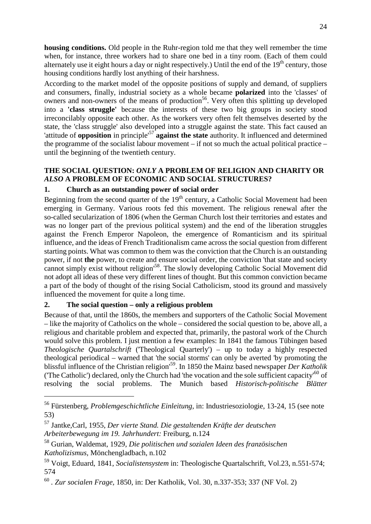<span id="page-23-0"></span>**housing conditions.** Old people in the Ruhr-region told me that they well remember the time when, for instance, three workers had to share one bed in a tiny room. (Each of them could alternately use it eight hours a day or night respectively.) Until the end of the  $19<sup>th</sup>$  century, those housing conditions hardly lost anything of their harshness.

According to the market model of the opposite positions of supply and demand, of suppliers and consumers, finally, industrial society as a whole became **polarized** into the 'classes' of owners and non-owners of the means of production<sup>[56](#page-23-1)</sup>. Very often this splitting up developed into a **'class struggle'** because the interests of these two big groups in society stood irreconcilably opposite each other. As the workers very often felt themselves deserted by the state, the 'class struggle' also developed into a struggle against the state. This fact caused an 'attitude of **opposition** in principle'[57](#page-23-2) **against the state** authority. It influenced and determined the programme of the socialist labour movement – if not so much the actual political practice – until the beginning of the twentieth century.

## **THE SOCIAL QUESTION:** *ONLY* **A PROBLEM OF RELIGION AND CHARITY OR** *ALSO* **A PROBLEM OF ECONOMIC AND SOCIAL STRUCTURES?**

# **1. Church as an outstanding power of social order**

Beginning from the second quarter of the  $19<sup>th</sup>$  century, a Catholic Social Movement had been emerging in Germany. Various roots fed this movement. The religious renewal after the so-called secularization of 1806 (when the German Church lost their territories and estates and was no longer part of the previous political system) and the end of the liberation struggles against the French Emperor Napoleon, the emergence of Romanticism and its spiritual influence, and the ideas of French Traditionalism came across the social question from different starting points. What was common to them was the conviction that the Church is an outstanding power, if not **the** power, to create and ensure social order, the conviction 'that state and society cannot simply exist without religion<sup>[58](#page-23-3)</sup>. The slowly developing Catholic Social Movement did not adopt all ideas of these very different lines of thought. But this common conviction became a part of the body of thought of the rising Social Catholicism, stood its ground and massively influenced the movement for quite a long time.

# **2. The social question – only a religious problem**

Because of that, until the 1860s, the members and supporters of the Catholic Social Movement – like the majority of Catholics on the whole – considered the social question to be, above all, a religious and charitable problem and expected that, primarily, the pastoral work of the Church would solve this problem. I just mention a few examples: In 1841 the famous Tübingen based *Theologische Quartalschrift* ('Theological Quarterly') – up to today a highly respected theological periodical – warned that 'the social storms' can only be averted 'by promoting the blissful influence of the Christian religion'[59](#page-23-4). In 1850 the Mainz based newspaper *Der Katholik* (The Catholic') declared, only the Church had 'the vocation and the sole sufficient capacity<sup>[60](#page-23-5)</sup> of resolving the social problems. The Munich based *Historisch-politische Blätter*

<span id="page-23-1"></span><sup>56</sup> Fürstenberg, *Problemgeschichtliche Einleitung,* in: Industriesoziologie, 13-24, 15 (see note 53)

<span id="page-23-2"></span><sup>57</sup> Jantke,Carl, 1955, *Der vierte Stand. Die gestaltenden Kräfte der deutschen Arbeiterbewegung im 19. Jahrhundert:* Freiburg, n.124

<span id="page-23-3"></span><sup>58</sup> Gurian, Waldemat, 1929, *Die politischen und sozialen Ideen des französischen Katholizismus,* Mönchengladbach, n.102

<span id="page-23-4"></span><sup>59</sup> Voigt, Eduard, 1841, *Socialistensystem* in: Theologische Quartalschrift, Vol.23, n.551-574; 574

<span id="page-23-5"></span><sup>60</sup> *. Zur socialen Frage,* 1850, in: Der Katholik, Vol. 30, n.337-353; 337 (NF Vol. 2)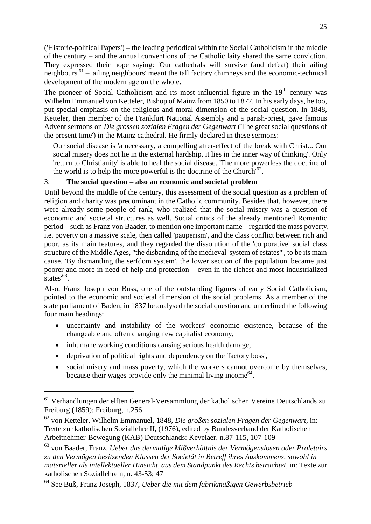('Historic-political Papers') – the leading periodical within the Social Catholicism in the middle of the century – and the annual conventions of the Catholic laity shared the same conviction. They expressed their hope saying: 'Our cathedrals will survive (and defeat) their ailing neighbours'[61](#page-24-0) – 'ailing neighbours' meant the tall factory chimneys and the economic-technical development of the modern age on the whole.

The pioneer of Social Catholicism and its most influential figure in the  $19<sup>th</sup>$  century was Wilhelm Emmanuel von Ketteler, Bishop of Mainz from 1850 to 1877. In his early days, he too, put special emphasis on the religious and moral dimension of the social question. In 1848, Ketteler, then member of the Frankfurt National Assembly and a parish-priest, gave famous Advent sermons on *Die grossen sozialen Fragen der Gegenwart* ('The great social questions of the present time') in the Mainz cathedral. He firmly declared in these sermons:

Our social disease is 'a necessary, a compelling after-effect of the break with Christ... Our social misery does not lie in the external hardship, it lies in the inner way of thinking'. Only 'return to Christianity' is able to heal the social disease. 'The more powerless the doctrine of the world is to help the more powerful is the doctrine of the Church<sup> $62$ </sup>.

#### 3. **The social question – also an economic and societal problem**

Until beyond the middle of the century, this assessment of the social question as a problem of religion and charity was predominant in the Catholic community. Besides that, however, there were already some people of rank, who realized that the social misery was a question of economic and societal structures as well. Social critics of the already mentioned Romantic period – such as Franz von Baader, to mention one important name – regarded the mass poverty, i.e. poverty on a massive scale, then called 'pauperism', and the class conflict between rich and poor, as its main features, and they regarded the dissolution of the 'corporative' social class structure of the Middle Ages, "the disbanding of the medieval 'system of estates'", to be its main cause. 'By dismantling the serfdom system', the lower section of the population 'became just poorer and more in need of help and protection – even in the richest and most industrialized  $\frac{1}{\text{states}^{63}}$  $\frac{1}{\text{states}^{63}}$  $\frac{1}{\text{states}^{63}}$ .

Also, Franz Joseph von Buss, one of the outstanding figures of early Social Catholicism, pointed to the economic and societal dimension of the social problems. As a member of the state parliament of Baden, in 1837 he analysed the social question and underlined the following four main headings:

- uncertainty and instability of the workers' economic existence, because of the changeable and often changing new capitalist economy,
- inhumane working conditions causing serious health damage,
- deprivation of political rights and dependency on the 'factory boss',
- social misery and mass poverty, which the workers cannot overcome by themselves, because their wages provide only the minimal living income<sup>[64](#page-24-3)</sup>.

<span id="page-24-0"></span><sup>61</sup> Verhandlungen der elften General-Versammlung der katholischen Vereine Deutschlands zu Freiburg (1859): Freiburg, n.256

<span id="page-24-1"></span><sup>62</sup> von Ketteler, Wilhelm Emmanuel, 1848, *Die großen sozialen Fragen der Gegenwart,* in: Texte zur katholischen Soziallehre II, (1976), edited by Bundesverband der Katholischen Arbeitnehmer-Bewegung (KAB) Deutschlands: Kevelaer, n.87-115, 107-109

<span id="page-24-2"></span><sup>63</sup> von Baader, Franz. *Ueber das dermalige Mißverhältnis der Vermögenslosen oder Proletairs zu den Vermögen besitzenden Klassen der Societät in Betreff ihres Auskommens, sowohl in materieller als intellektueller Hinsicht, aus dem Standpunkt des Rechts betrachtet,* in: Texte zur katholischen Soziallehre n, n. 43-53; 47

<span id="page-24-3"></span><sup>64</sup> See Buß, Franz Joseph, 1837, *Ueber die mit dem fabrikmäßigen Gewerbsbetrieb*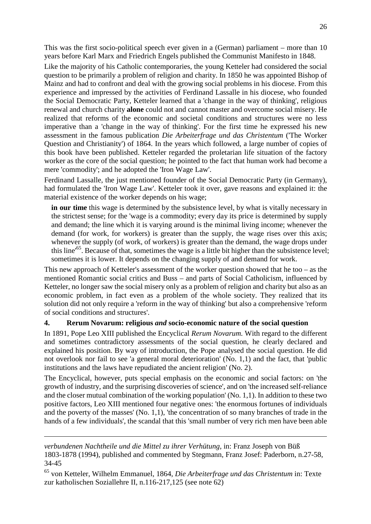This was the first socio-political speech ever given in a (German) parliament – more than 10 years before Karl Marx and Friedrich Engels published the Communist Manifesto in 1848.

Like the majority of his Catholic contemporaries, the young Ketteler had considered the social question to be primarily a problem of religion and charity. In 1850 he was appointed Bishop of Mainz and had to confront and deal with the growing social problems in his diocese. From this experience and impressed by the activities of Ferdinand Lassalle in his diocese, who founded the Social Democratic Party, Ketteler learned that a 'change in the way of thinking', religious renewal and church charity **alone** could not and cannot master and overcome social misery. He realized that reforms of the economic and societal conditions and structures were no less imperative than a 'change in the way of thinking'. For the first time he expressed his new assessment in the famous publication *Die Arbeiterfrage und das Christentum* ('The Worker Question and Christianity') of 1864. In the years which followed, a large number of copies of this book have been published. Ketteler regarded the proletarian life situation of the factory worker as the core of the social question; he pointed to the fact that human work had become a mere 'commodity'; and he adopted the 'Iron Wage Law'.

Ferdinand Lassalle, the just mentioned founder of the Social Democratic Party (in Germany), had formulated the 'Iron Wage Law'. Ketteler took it over, gave reasons and explained it: the material existence of the worker depends on his wage;

**in our time** this wage is determined by the subsistence level, by what is vitally necessary in the strictest sense; for the 'wage is a commodity; every day its price is determined by supply and demand; the line which it is varying around is the minimal living income; whenever the demand (for work, for workers) is greater than the supply, the wage rises over this axis; whenever the supply (of work, of workers) is greater than the demand, the wage drops under thisline<sup>65</sup>. Because of that, sometimes the wage is a little bit higher than the subsistence level; sometimes it is lower. It depends on the changing supply of and demand for work.

This new approach of Ketteler's assessment of the worker question showed that he too – as the mentioned Romantic social critics and Buss – and parts of Social Catholicism, influenced by Ketteler, no longer saw the social misery only as a problem of religion and charity but also as an economic problem, in fact even as a problem of the whole society. They realized that its solution did not only require a 'reform in the way of thinking' but also a comprehensive 'reform of social conditions and structures'.

#### **4. Rerum Novarum: religious** *and* **socio-economic nature of the social question**

In 1891, Pope Leo XIII published the Encyclical *Rerum Novarum.* With regard to the different and sometimes contradictory assessments of the social question, he clearly declared and explained his position. By way of introduction, the Pope analysed the social question. He did not overlook nor fail to see 'a general moral deterioration' (No. 1,1) and the fact, that 'public institutions and the laws have repudiated the ancient religion' (No. 2).

The Encyclical, however, puts special emphasis on the economic and social factors: on 'the growth of industry, and the surprising discoveries of science', and on 'the increased self-reliance and the closer mutual combination of the working population' (No. 1,1). In addition to these two positive factors, Leo XIII mentioned four negative ones: 'the enormous fortunes of individuals and the poverty of the masses' (No. 1,1), 'the concentration of so many branches of trade in the hands of a few individuals', the scandal that this 'small number of very rich men have been able

*verbundenen Nachtheile und die Mittel zu ihrer Verhütung,* in: Franz Joseph von Büß 1803-1878 (1994), published and commented by Stegmann, Franz Josef: Paderborn, n.27-58, 34-45

<span id="page-25-0"></span><sup>65</sup> von Ketteler, Wilhelm Emmanuel, 1864, *Die Arbeiterfrage und das Christentum* in: Texte zur katholischen Soziallehre II, n.116-217,125 (see note 62)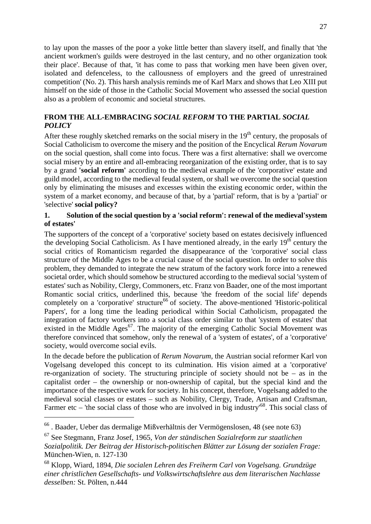<span id="page-26-0"></span>to lay upon the masses of the poor a yoke little better than slavery itself, and finally that 'the ancient workmen's guilds were destroyed in the last century, and no other organization took their place'. Because of that, 'it has come to pass that working men have been given over, isolated and defenceless, to the callousness of employers and the greed of unrestrained competition' (No. 2). This harsh analysis reminds me of Karl Marx and shows that Leo XIII put himself on the side of those in the Catholic Social Movement who assessed the social question also as a problem of economic and societal structures.

## **FROM THE ALL-EMBRACING** *SOCIAL REFORM* **TO THE PARTIAL** *SOCIAL POLICY*

After these roughly sketched remarks on the social misery in the  $19<sup>th</sup>$  century, the proposals of Social Catholicism to overcome the misery and the position of the Encyclical *Rerum Novarum* on the social question, shall come into focus. There was a first alternative: shall we overcome social misery by an entire and all-embracing reorganization of the existing order, that is to say by a grand **'social reform'** according to the medieval example of the 'corporative' estate and guild model, according to the medieval feudal system, or shall we overcome the social question only by eliminating the misuses and excesses within the existing economic order, within the system of a market economy, and because of that, by a 'partial' reform, that is by a 'partial' or 'selective' **social policy?**

#### **1. Solution of the social question by a 'social reform': renewal of the medieval'system of estates'**

The supporters of the concept of a 'corporative' society based on estates decisively influenced the developing Social Catholicism. As I have mentioned already, in the early  $19<sup>th</sup>$  century the social critics of Romanticism regarded the disappearance of the 'corporative' social class structure of the Middle Ages to be a crucial cause of the social question. In order to solve this problem, they demanded to integrate the new stratum of the factory work force into a renewed societal order, which should somehow be structured according to the medieval social 'system of estates' such as Nobility, Clergy, Commoners, etc. Franz von Baader, one of the most important Romantic social critics, underlined this, because 'the freedom of the social life' depends completely on a 'corporative' structure<sup>[66](#page-26-1)</sup> of society. The above-mentioned 'Historic-political Papers', for a long time the leading periodical within Social Catholicism, propagated the integration of factory workers into a social class order similar to that 'system of estates' that existedin the Middle Ages<sup>67</sup>. The majority of the emerging Catholic Social Movement was therefore convinced that somehow, only the renewal of a 'system of estates', of a 'corporative' society, would overcome social evils.

In the decade before the publication of *Rerum Novarum,* the Austrian social reformer Karl von Vogelsang developed this concept to its culmination. His vision aimed at a 'corporative' re-organization of society. The structuring principle of society should not be  $-$  as in the capitalist order – the ownership or non-ownership of capital, but the special kind and the importance of the respective work for society. In his concept, therefore, Vogelsang added to the medieval social classes or estates – such as Nobility, Clergy, Trade, Artisan and Craftsman, Farmer etc – 'the social class of those who are involved in big industry<sup>[68](#page-26-3)</sup>. This social class of

<span id="page-26-1"></span><sup>66</sup> . Baader, Ueber das dermalige Mißverhältnis der Vermögenslosen, 48 (see note 63)

<span id="page-26-2"></span><sup>67</sup> See Stegmann, Franz Josef, 1965, *Von der ständischen Sozialreform zur staatlichen Sozialpolitik. Der Beitrag der Historisch-politischen Blätter zur Lösung der sozialen Frage:* München-Wien, n. 127-130

<span id="page-26-3"></span><sup>68</sup> Klopp, Wiard, 1894, *Die socialen Lehren des Freiherm Carl von Vogelsang. Grundzüge einer christlichen Gesellschafts- und Volkswirtschaftslehre aus dem literarischen Nachlasse desselben:* St. Pölten, n.444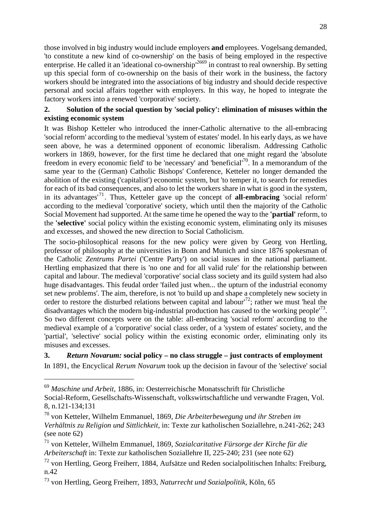those involved in big industry would include employers **and** employees. Vogelsang demanded, 'to constitute a new kind of co-ownership' on the basis of being employed in the respective enterprise. He called it an 'ideational co-ownership'<sup>26[69](#page-27-0)</sup> in contrast to real ownership. By setting up this special form of co-ownership on the basis of their work in the business, the factory workers should be integrated into the associations of big industry and should decide respective personal and social affairs together with employers. In this way, he hoped to integrate the factory workers into a renewed 'corporative' society.

### **2. Solution of the social question by 'social policy': elimination of misuses within the existing economic system**

It was Bishop Ketteler who introduced the inner-Catholic alternative to the all-embracing 'social reform' according to the medieval 'system of estates' model. In his early days, as we have seen above, he was a determined opponent of economic liberalism. Addressing Catholic workers in 1869, however, for the first time he declared that one might regard the 'absolute freedom in every economic field' to be 'necessary' and 'beneficial'[70](#page-27-1). In a memorandum of the same year to the (German) Catholic Bishops' Conference, Ketteler no longer demanded the abolition of the existing ('capitalist') economic system, but 'to temper it, to search for remedies for each of its bad consequences, and also to let the workers share in what is good in the system, in its advantages'[71](#page-27-2). Thus, Ketteler gave up the concept of **all-embracing** 'social reform' according to the medieval 'corporative' society, which until then the majority of the Catholic Social Movement had supported. At the same time he opened the way to the **'partial'** reform, to the **'selective'** social policy within the existing economic system, eliminating only its misuses and excesses, and showed the new direction to Social Catholicism.

The socio-philosophical reasons for the new policy were given by Georg von Hertling, professor of philosophy at the universities in Bonn and Munich and since 1876 spokesman of the Catholic *Zentrums Partei* ('Centre Party') on social issues in the national parliament. Hertling emphasized that there is 'no one and for all valid rule' for the relationship between capital and labour. The medieval 'corporative' social class society and its guild system had also huge disadvantages. This feudal order 'failed just when... the upturn of the industrial economy set new problems'. The aim, therefore, is not 'to build up and shape a completely new society in order to restore the disturbed relations between capital and labour'[72](#page-27-3); rather we must 'heal the disadvantages which the modern big-industrial production has caused to the working people<sup>[73](#page-27-4)</sup>. So two different concepts were on the table: all-embracing 'social reform' according to the medieval example of a 'corporative' social class order, of a 'system of estates' society, and the 'partial', 'selective' social policy within the existing economic order, eliminating only its misuses and excesses.

#### **3.** *Return Novarum:* **social policy – no class struggle – just contracts of employment** In 1891, the Encyclical *Rerum Novarum* took up the decision in favour of the 'selective' social

<span id="page-27-0"></span><sup>69</sup> *Maschine und Arbeit,* 1886, in: Oesterreichische Monatsschrift für Christliche Social-Reform, Gesellschafts-Wissenschaft, volkswirtschaftliche und verwandte Fragen, Vol. 8, n.121-134;131

<span id="page-27-1"></span><sup>70</sup> von Ketteler, Wilhelm Emmanuel, 1869, *Die Arbeiterbewegung und ihr Streben im Verhältnis zu Religion und Sittlichkeit,* in: Texte zur katholischen Soziallehre, n.241-262; 243 (see note 62)

<span id="page-27-2"></span><sup>71</sup> von Ketteler, Wilhelm Emmanuel, 1869, *Sozialcaritative Fürsorge der Kirche für die Arbeiterschaft* in: Texte zur katholischen Soziallehre II, 225-240; 231 (see note 62)

<span id="page-27-3"></span> $^{72}$  von Hertling, Georg Freiherr, 1884, Aufsätze und Reden socialpolitischen Inhalts: Freiburg, n.42

<span id="page-27-4"></span><sup>73</sup> von Hertling, Georg Freiherr, 1893, *Naturrecht und Sozialpolitik,* Köln, 65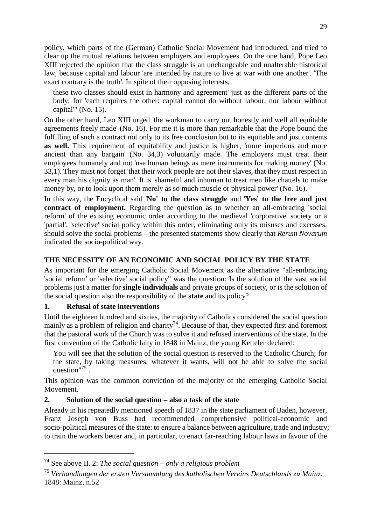<span id="page-28-0"></span>policy, which parts of the (German) Catholic Social Movement had introduced, and tried to clear up the mutual relations between employers and employees. On the one hand, Pope Leo XIII rejected the opinion that the class struggle is an unchangeable and unalterable historical law, because capital and labour 'are intended by nature to live at war with one another'. 'The exact contrary is the truth'. In spite of their opposing interests,

these two classes should exist in harmony and agreement' just as the different parts of the body; for 'each requires the other: capital cannot do without labour, nor labour without capital'" (No. 15).

On the other hand, Leo XIII urged 'the workman to carry out honestly and well all equitable agreements freely made' (No. 16). For me it is more than remarkable that the Pope bound the fulfilling of such a contract not only to its free conclusion but to its equitable and just contents as well. This requirement of equitability and justice is higher, 'more imperious and more ancient than any bargain' (No. 34,3) voluntarily made. The employers must treat their employees humanely and not 'use human beings as mere instruments for making money' (No. 33,1). They must not forget 'that their work people are not their slaves, that they must respect in every man his dignity as man'. It is 'shameful and inhuman to treat men like chattels to make money by, or to look upon them merely as so much muscle or physical power' (No. 16).

In this way, the Encyclical said '**No' to the class struggle** and '**Yes' to the free and just contract of employment.** Regarding the question as to whether an all-embracing 'social reform' of the existing economic order according to the medieval 'corporative' society or a 'partial', 'selective' social policy within this order, eliminating only its misuses and excesses, should solve the social problems – the presented statements show clearly that *Rerum Novarum* indicated the socio-political way.

## **THE NECESSITY OF AN ECONOMIC AND SOCIAL POLICY BY THE STATE**

As important for the emerging Catholic Social Movement as the alternative "all-embracing 'social reform' or 'selective' social policy" was the question: Is the solution of the vast social problems just a matter for **single individuals** and private groups of society, or is the solution of the social question also the responsibility of the **state** and its policy?

### **1. Refusal of state interventions**

Until the eighteen hundred and sixties, the majority of Catholics considered the social question mainly as a problem of religion and charity<sup>[74](#page-28-1)</sup>. Because of that, they expected first and foremost that the pastoral work of the Church was to solve it and refused interventions of the state. In the first convention of the Catholic laity in 1848 in Mainz, the young Ketteler declared:

You will see that the solution of the social question is reserved to the Catholic Church; for the state, by taking measures, whatever it wants, will not be able to solve the social question"<sup>[75](#page-28-2)</sup>.

This opinion was the common conviction of the majority of the emerging Catholic Social Movement.

#### **2. Solution of the social question – also a task of the state**

Already in his repeatedly mentioned speech of 1837 in the state parliament of Baden, however, Franz Joseph von Buss had recommended comprehensive political-economic and socio-political measures of the state: to ensure a balance between agriculture, trade and industry; to train the workers better and, in particular, to enact far-reaching labour laws in favour of the

<span id="page-28-1"></span><sup>74</sup> See above II. 2: *The social question – only a religious problem*

<span id="page-28-2"></span><sup>75</sup> *Verhandlungen der ersten Versammlung des katholischen Vereins Deutschlands zu Mainz.* 1848: Mainz, n.52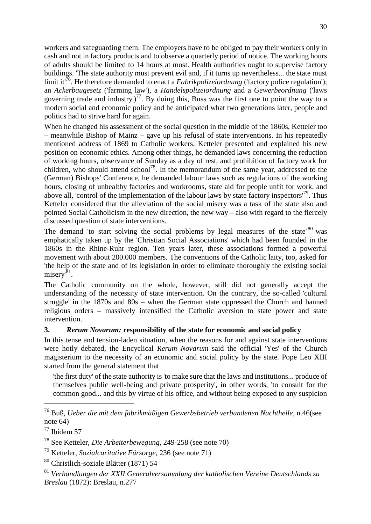workers and safeguarding them. The employers have to be obliged to pay their workers only in cash and not in factory products and to observe a quarterly period of notice. The working hours of adults should be limited to 14 hours at most. Health authorities ought to supervise factory buildings. 'The state authority must prevent evil and, if it turns up nevertheless... the state must limitit<sup>76</sup>. He therefore demanded to enact a *Fabrikpolizeiordnung* ('factory police regulation'); an *Ackerbaugesetz* ('farming law'), a *Handelspolizeiordnung* and a *Gewerbeordnung* ('laws governing trade and industry')<sup>[77](#page-29-1)</sup>. By doing this, Buss was the first one to point the way to a modern social and economic policy and he anticipated what two generations later, people and politics had to strive hard for again.

When he changed his assessment of the social question in the middle of the 1860s, Ketteler too – meanwhile Bishop of Mainz – gave up his refusal of state interventions. In his repeatedly mentioned address of 1869 to Catholic workers, Ketteler presented and explained his new position on economic ethics. Among other things, he demanded laws concerning the reduction of working hours, observance of Sunday as a day of rest, and prohibition of factory work for children, who should attend  $\text{school}^{78}$  $\text{school}^{78}$  $\text{school}^{78}$ . In the memorandum of the same year, addressed to the (German) Bishops' Conference, he demanded labour laws such as regulations of the working hours, closing of unhealthy factories and workrooms, state aid for people unfit for work, and above all, 'control of the implementation of the labour laws by state factory inspectors<sup>'[79](#page-29-3)</sup>. Thus Ketteler considered that the alleviation of the social misery was a task of the state also and pointed Social Catholicism in the new direction, the new way – also with regard to the fiercely discussed question of state interventions.

The demand 'to start solving the social problems by legal measures of the state'  $80$  was emphatically taken up by the 'Christian Social Associations' which had been founded in the 1860s in the Rhine-Ruhr region. Ten years later, these associations formed a powerful movement with about 200.000 members. The conventions of the Catholic laity, too, asked for 'the help of the state and of its legislation in order to eliminate thoroughly the existing social misery'<sup>[81](#page-29-5)</sup>.

The Catholic community on the whole, however, still did not generally accept the understanding of the necessity of state intervention. On the contrary, the so-called 'cultural struggle' in the 1870s and 80s – when the German state oppressed the Church and banned religious orders – massively intensified the Catholic aversion to state power and state intervention.

#### **3.** *Rerum Novarum:* **responsibility of the state for economic and social policy**

In this tense and tension-laden situation, when the reasons for and against state interventions were hotly debated, the Encyclical *Rerum Novarum* said the official 'Yes' of the Church magisterium to the necessity of an economic and social policy by the state. Pope Leo XIII started from the general statement that

'the first duty' of the state authority is 'to make sure that the laws and institutions... produce of themselves public well-being and private prosperity', in other words, 'to consult for the common good... and this by virtue of his office, and without being exposed to any suspicion

<span id="page-29-0"></span><sup>76</sup> Buß, *Ueber die mit dem fabrikmäßigen Gewerbsbetrieb verbundenen Nachtheile,* n.46(see note 64)

<span id="page-29-1"></span> $77$  Ibidem 57

<span id="page-29-2"></span><sup>78</sup> See Ketteler, *Die Arbeiterbewegung,* 249-258 (see note 70)

<span id="page-29-3"></span><sup>79</sup> Ketteler, *Sozialcaritative Fürsorge,* 236 (see note 71)

<span id="page-29-4"></span><sup>80</sup> Christlich-soziale Blätter (1871) 54

<span id="page-29-5"></span><sup>81</sup> *Verhandlungen der XXII Generalversammlung der katholischen Vereine Deutschlands zu Breslau* (1872): Breslau, n.277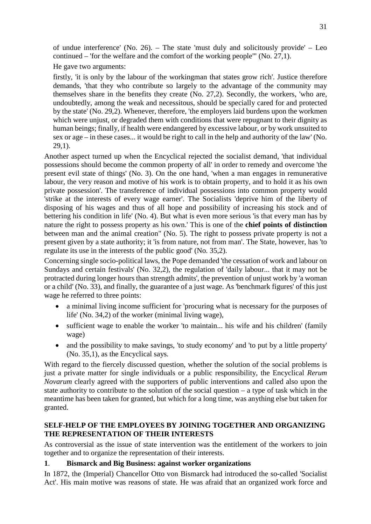<span id="page-30-0"></span>of undue interference' (No. 26). – The state 'must duly and solicitously provide' – Leo continued – 'for the welfare and the comfort of the working people'" (No. 27,1).

He gave two arguments:

firstly, 'it is only by the labour of the workingman that states grow rich'. Justice therefore demands, 'that they who contribute so largely to the advantage of the community may themselves share in the benefits they create (No. 27,2). Secondly, the workers, 'who are, undoubtedly, among the weak and necessitous, should be specially cared for and protected by the state' (No. 29,2). Whenever, therefore, 'the employers laid burdens upon the workmen which were unjust, or degraded them with conditions that were repugnant to their dignity as human beings; finally, if health were endangered by excessive labour, or by work unsuited to sex or age – in these cases... it would be right to call in the help and authority of the law' (No. 29,1).

Another aspect turned up when the Encyclical rejected the socialist demand, 'that individual possessions should become the common property of all' in order to remedy and overcome 'the present evil state of things' (No. 3). On the one hand, 'when a man engages in remunerative labour, the very reason and motive of his work is to obtain property, and to hold it as his own private possession'. The transference of individual possessions into common property would 'strike at the interests of every wage earner'. The Socialists 'deprive him of the liberty of disposing of his wages and thus of all hope and possibility of increasing his stock and of bettering his condition in life' (No. 4). But what is even more serious 'is that every man has by nature the right to possess property as his own.' This is one of the **chief points of distinction** between man and the animal creation" (No. 5). The right to possess private property is not a present given by a state authority; it 'is from nature, not from man'. The State, however, has 'to regulate its use in the interests of the public good' (No. 35,2).

Concerning single socio-political laws, the Pope demanded 'the cessation of work and labour on Sundays and certain festivals' (No. 32,2), the regulation of 'daily labour... that it may not be protracted during longer hours than strength admits', the prevention of unjust work by 'a woman or a child' (No. 33), and finally, the guarantee of a just wage. As 'benchmark figures' of this just wage he referred to three points:

- a minimal living income sufficient for 'procuring what is necessary for the purposes of life' (No. 34,2) of the worker (minimal living wage),
- sufficient wage to enable the worker 'to maintain... his wife and his children' (family wage)
- and the possibility to make savings, 'to study economy' and 'to put by a little property' (No. 35,1), as the Encyclical says.

With regard to the fiercely discussed question, whether the solution of the social problems is just a private matter for single individuals or a public responsibility, the Encyclical *Rerum Novarum* clearly agreed with the supporters of public interventions and called also upon the state authority to contribute to the solution of the social question – a type of task which in the meantime has been taken for granted, but which for a long time, was anything else but taken for granted.

#### **SELF-HELP OF THE EMPLOYEES BY JOINING TOGETHER AND ORGANIZING THE REPRESENTATION OF THEIR INTERESTS**

As controversial as the issue of state intervention was the entitlement of the workers to join together and to organize the representation of their interests.

#### **1**. **Bismarck and Big Business: against worker organizations**

In 1872, the (Imperial) Chancellor Otto von Bismarck had introduced the so-called 'Socialist Act'. His main motive was reasons of state. He was afraid that an organized work force and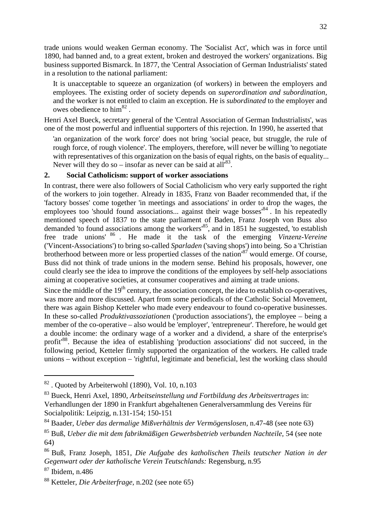trade unions would weaken German economy. The 'Socialist Act', which was in force until 1890, had banned and, to a great extent, broken and destroyed the workers' organizations. Big business supported Bismarck. In 1877, the 'Central Association of German Industrialists' stated in a resolution to the national parliament:

It is unacceptable to squeeze an organization (of workers) in between the employers and employees. The existing order of society depends on *superordination and subordination,* and the worker is not entitled to claim an exception. He is *subordinated* to the employer and owesobedience to  $\text{him}^{\text{82}}$  $\text{him}^{\text{82}}$  $\text{him}^{\text{82}}$ .

Henri Axel Bueck, secretary general of the 'Central Association of German Industrialists', was one of the most powerful and influential supporters of this rejection. In 1990, he asserted that

'an organization of the work force' does not bring 'social peace, but struggle, the rule of rough force, of rough violence'. The employers, therefore, will never be willing 'to negotiate with representatives of this organization on the basis of equal rights, on the basis of equality... Neverwill they do so – insofar as never can be said at all<sup>83</sup>.

#### **2. Social Catholicism: support of worker associations**

In contrast, there were also followers of Social Catholicism who very early supported the right of the workers to join together. Already in 1835, Franz von Baader recommended that, if the 'factory bosses' come together 'in meetings and associations' in order to drop the wages, the employees too 'should found associations... against their wage bosses<sup>[84](#page-31-2)</sup>. In his repeatedly mentioned speech of 1837 to the state parliament of Baden, Franz Joseph von Buss also demanded 'to found associations among the workers<sup>[85](#page-31-3)</sup>, and in 1851 he suggested, 'to establish free trade unions' [86](#page-31-4) . He made it the task of the emerging *Vinzenz-Vereine* ('Vincent-Associations') to bring so-called *Sparladen* ('saving shops') into being. So a 'Christian brotherhood between more or less propertied classes of the nation<sup>[87](#page-31-5)</sup> would emerge. Of course, Buss did not think of trade unions in the modern sense. Behind his proposals, however, one could clearly see the idea to improve the conditions of the employees by self-help associations aiming at cooperative societies, at consumer cooperatives and aiming at trade unions.

Since the middle of the  $19<sup>th</sup>$  century, the association concept, the idea to establish co-operatives, was more and more discussed. Apart from some periodicals of the Catholic Social Movement, there was again Bishop Ketteler who made every endeavour to found co-operative businesses. In these so-called *Produktivassoziationen* ('production associations'), the employee – being a member of the co-operative – also would be 'employer', 'entrepreneur'. Therefore, he would get a double income: the ordinary wage of a worker and a dividend, a share of the enterprise's profit<sup>[88](#page-31-6)</sup>. Because the idea of establishing 'production associations' did not succeed, in the following period, Ketteler firmly supported the organization of the workers. He called trade unions – without exception – 'rightful, legitimate and beneficial, lest the working class should

<span id="page-31-0"></span> $82$ . Quoted by Arbeiterwohl (1890), Vol. 10, n.103

<span id="page-31-1"></span><sup>83</sup> Bueck, Henri Axel, 1890, *Arbeitseinstellung und Fortbildung des Arbeitsvertrages* in: Verhandlungen der 1890 in Frankfurt abgehaltenen Generalversammlung des Vereins für Socialpolitik: Leipzig, n.131-154; 150-151

<span id="page-31-2"></span><sup>84</sup> Baader, *Ueber das dermalige Mißverhältnis der Vermögenslosen,* n.47-48 (see note 63)

<span id="page-31-3"></span><sup>85</sup> Buß, *Ueber die mit dem fabrikmäßigen Gewerbsbetrieb verbunden Nachteile,* 54 (see note 64)

<span id="page-31-4"></span><sup>86</sup> Buß, Franz Joseph, 1851, *Die Aufgabe des katholischen Theils teutscher Nation in der Gegenwart oder der katholische Verein Teutschlands:* Regensburg, n.95

<span id="page-31-5"></span><sup>87</sup> Ibidem, n.486

<span id="page-31-6"></span><sup>88</sup> Ketteler, *Die Arbeiterfrage,* n.202 (see note 65)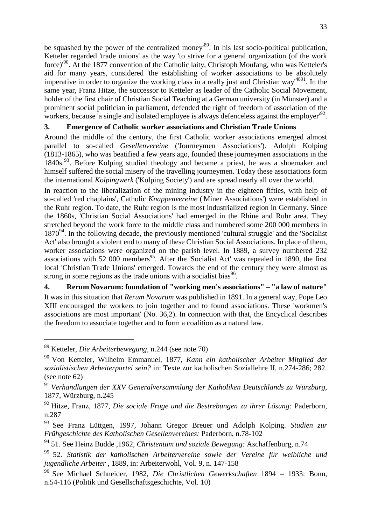be squashed by the power of the centralized money<sup>[89](#page-32-0)</sup>. In his last socio-political publication, Ketteler regarded 'trade unions' as the way 'to strive for a general organization (of the work force)<sup>'[90](#page-32-1)</sup>. At the 1877 convention of the Catholic laity, Christoph Moufang, who was Ketteler's aid for many years, considered 'the establishing of worker associations to be absolutely imperative in order to organize the working class in a really just and Christian way<sup>48[91](#page-32-2)</sup>. In the same year, Franz Hitze, the successor to Ketteler as leader of the Catholic Social Movement, holder of the first chair of Christian Social Teaching at a German university (in Münster) and a prominent social politician in parliament, defended the right of freedom of association of the workers, because 'a single and isolated employee is always defenceless against the employer<sup>1[92](#page-32-3)</sup>.

## **3. Emergence of Catholic worker associations and Christian Trade Unions**

Around the middle of the century, the first Catholic worker associations emerged almost parallel to so-called *Gesellenvereine* ('Journeymen Associations'). Adolph Kolping (1813-1865), who was beatified a few years ago, founded these journeymen associations in the 1840s.<sup>[93](#page-32-4)</sup>. Before Kolping studied theology and became a priest, he was a shoemaker and himself suffered the social misery of the travelling journeymen. Today these associations form the international *Kolpingwerk* ('Kolping Society') and are spread nearly all over the world.

In reaction to the liberalization of the mining industry in the eighteen fifties, with help of so-called 'red chaplains', Catholic *Knappenvereine* ('Miner Associations') were established in the Ruhr region. To date, the Ruhr region is the most industrialized region in Germany. Since the 1860s, 'Christian Social Associations' had emerged in the Rhine and Ruhr area. They stretched beyond the work force to the middle class and numbered some 200 000 members in  $1870<sup>94</sup>$  $1870<sup>94</sup>$  $1870<sup>94</sup>$ . In the following decade, the previously mentioned 'cultural struggle' and the 'Socialist' Act' also brought a violent end to many of these Christian Social Associations. In place of them, worker associations were organized on the parish level. In 1889, a survey numbered 232 associations with 52 000 members<sup>[95](#page-32-6)</sup>. After the 'Socialist Act' was repealed in 1890, the first local 'Christian Trade Unions' emerged. Towards the end of the century they were almost as strongin [s](#page-32-7)ome regions as the trade unions with a socialist bias<sup>96</sup>.

**4. Rerum Novarum: foundation of "working men's associations" – "a law of nature"** It was in this situation that *Rerum Novarum* was published in 1891. In a general way, Pope Leo XIII encouraged the workers to join together and to found associations. These 'workmen's associations are most important' (No. 36,2). In connection with that, the Encyclical describes the freedom to associate together and to form a coalition as a natural law.

<span id="page-32-0"></span><sup>89</sup> Ketteler, *Die Arbeiterbewegung,* n.244 (see note 70)

<span id="page-32-1"></span><sup>90</sup> Von Ketteler, Wilhelm Emmanuel, 1877, *Kann ein katholischer Arbeiter Mitglied der sozialistischen Arbeiterpartei sein?* in: Texte zur katholischen Soziallehre II, n.274-286; 282. (see note 62)

<span id="page-32-2"></span><sup>91</sup> *Verhandlungen der XXV Generalversammlung der Katholiken Deutschlands zu Würzburg,* 1877, Würzburg, n.245

<span id="page-32-3"></span><sup>92</sup> Hitze, Franz, 1877, *Die sociale Frage und die Bestrebungen zu ihrer Lösung:* Paderborn, n.287

<span id="page-32-4"></span><sup>93</sup> See Franz Lüttgen, 1997, Johann Gregor Breuer und Adolph Kolping. *Studien zur Frühgeschichte des Katholischen Gesellenvereines:* Paderborn, n.78-102

<span id="page-32-5"></span><sup>94</sup> 51. See Heinz Budde ,1962, *Christentum und soziale Bewegung:* Aschaffenburg, n.74

<span id="page-32-6"></span><sup>95</sup> 52. *Statistik der katholischen Arbeitervereine sowie der Vereine für weibliche und jugendliche Arbeiter* , 1889, in: Arbeiterwohl, Vol. 9, n. 147-158

<span id="page-32-7"></span><sup>96</sup> See Michael Schneider, 1982, *Die Christlichen Gewerkschaften* 1894 – 1933: Bonn, n.54-116 (Politik und Gesellschaftsgeschichte, Vol. 10)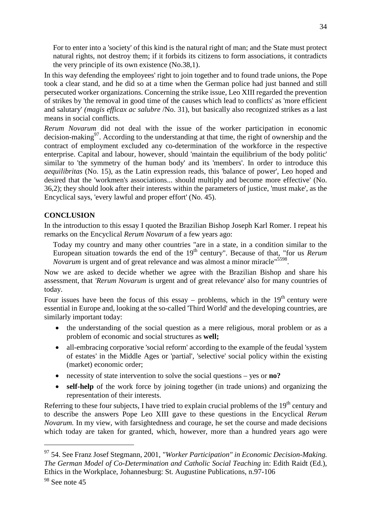<span id="page-33-0"></span>For to enter into a 'society' of this kind is the natural right of man; and the State must protect natural rights, not destroy them; if it forbids its citizens to form associations, it contradicts the very principle of its own existence (No.38,1).

In this way defending the employees' right to join together and to found trade unions, the Pope took a clear stand, and he did so at a time when the German police had just banned and still persecuted worker organizations. Concerning the strike issue, Leo XIII regarded the prevention of strikes by 'the removal in good time of the causes which lead to conflicts' as 'more efficient and salutary' *(magis efficax ac salubre* /No. 31), but basically also recognized strikes as a last means in social conflicts.

*Rerum Novarum* did not deal with the issue of the worker participation in economic decision-making<sup>[97](#page-33-1)</sup>. According to the understanding at that time, the right of ownership and the contract of employment excluded any co-determination of the workforce in the respective enterprise. Capital and labour, however, should 'maintain the equilibrium of the body politic' similar to 'the symmetry of the human body' and its 'members'. In order to introduce this *aequilibritas* (No. 15), as the Latin expression reads, this 'balance of power', Leo hoped and desired that the 'workmen's associations... should multiply and become more effective' (No. 36,2); they should look after their interests within the parameters of justice, 'must make', as the Encyclical says, 'every lawful and proper effort' (No. 45).

#### **CONCLUSION**

In the introduction to this essay I quoted the Brazilian Bishop Joseph Karl Romer. I repeat his remarks on the Encyclical *Rerum Novarum* of a few years ago:

Today my country and many other countries "are in a state, in a condition similar to the European situation towards the end of the 19<sup>th</sup> century". Because of that, "for us *Rerum Novarum* is urgent and of great relevance and was almost a minor miracle<sup>"5[598](#page-33-2)</sup>.

Now we are asked to decide whether we agree with the Brazilian Bishop and share his assessment, that *'Rerum Novarum* is urgent and of great relevance' also for many countries of today.

Four issues have been the focus of this essay – problems, which in the  $19<sup>th</sup>$  century were essential in Europe and, looking at the so-called 'Third World' and the developing countries, are similarly important today:

- the understanding of the social question as a mere religious, moral problem or as a problem of economic and social structures as **well;**
- all-embracing corporative 'social reform' according to the example of the feudal 'system of estates' in the Middle Ages or 'partial', 'selective' social policy within the existing (market) economic order;
- necessity of state intervention to solve the social questions yes or **no?**
- **self-help** of the work force by joining together (in trade unions) and organizing the representation of their interests.

Referring to these four subjects, I have tried to explain crucial problems of the  $19<sup>th</sup>$  century and to describe the answers Pope Leo XIII gave to these questions in the Encyclical *Rerum Novarum.* In my view, with farsightedness and courage, he set the course and made decisions which today are taken for granted, which, however, more than a hundred years ago were

<span id="page-33-1"></span><sup>97</sup> 54. See Franz Josef Stegmann, 2001, *"Worker Participation" in Economic Decision-Making. The German Model of Co-Determination and Catholic Social Teaching* in: Edith Raidt (Ed.), Ethics in the Workplace, Johannesburg: St. Augustine Publications, n.97-106

<span id="page-33-2"></span><sup>&</sup>lt;sup>98</sup> See note 45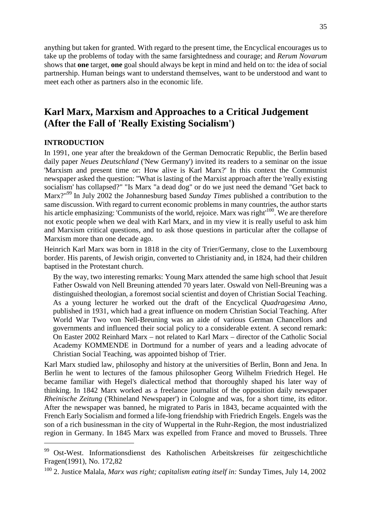<span id="page-34-0"></span>anything but taken for granted. With regard to the present time, the Encyclical encourages us to take up the problems of today with the same farsightedness and courage; and *Rerum Novarum* shows that **one** target, **one** goal should always be kept in mind and held on to: the idea of social partnership. Human beings want to understand themselves, want to be understood and want to meet each other as partners also in the economic life.

# **Karl Marx, Marxism and Approaches to a Critical Judgement (After the Fall of 'Really Existing Socialism')**

#### **INTRODUCTION**

In 1991, one year after the breakdown of the German Democratic Republic, the Berlin based daily paper *Neues Deutschland* ('New Germany') invited its readers to a seminar on the issue 'Marxism and present time or: How alive is Karl Marx?' In this context the Communist newspaper asked the question: "What is lasting of the Marxist approach after the 'really existing socialism' has collapsed?" "Is Marx "a dead dog" or do we just need the demand "Get back to Marx?"[99](#page-34-1) In July 2002 the Johannesburg based *Sunday Times* published a contribution to the same discussion. With regard to current economic problems in many countries, the author starts his article emphasizing: 'Communists of the world, rejoice. Marx was right<sup>[100](#page-34-2)</sup>. We are therefore not exotic people when we deal with Karl Marx, and in my view it is really useful to ask him and Marxism critical questions, and to ask those questions in particular after the collapse of Marxism more than one decade ago.

Heinrich Karl Marx was born in 1818 in the city of Trier/Germany, close to the Luxembourg border. His parents, of Jewish origin, converted to Christianity and, in 1824, had their children baptised in the Protestant church.

By the way, two interesting remarks: Young Marx attended the same high school that Jesuit Father Oswald von Nell Breuning attended 70 years later. Oswald von Nell-Breuning was a distinguished theologian, a foremost social scientist and doyen of Christian Social Teaching. As a young lecturer he worked out the draft of the Encyclical *Quadragesima Anno,* published in 1931, which had a great influence on modern Christian Social Teaching. After World War Two von Nell-Breuning was an aide of various German Chancellors and governments and influenced their social policy to a considerable extent. A second remark: On Easter 2002 Reinhard Marx – not related to Karl Marx – director of the Catholic Social Academy KOMMENDE in Dortmund for a number of years and a leading advocate of Christian Social Teaching, was appointed bishop of Trier.

Karl Marx studied law, philosophy and history at the universities of Berlin, Bonn and Jena. In Berlin he went to lectures of the famous philosopher Georg Wilhelm Friedrich Hegel. He became familiar with Hegel's dialectical method that thoroughly shaped his later way of thinking. In 1842 Marx worked as a freelance journalist of the opposition daily newspaper *Rheinische Zeitung* ('Rhineland Newspaper') in Cologne and was, for a short time, its editor. After the newspaper was banned, he migrated to Paris in 1843, became acquainted with the French Early Socialism and formed a life-long friendship with Friedrich Engels. Engels was the son of a rich businessman in the city of Wuppertal in the Ruhr-Region, the most industrialized region in Germany. In 1845 Marx was expelled from France and moved to Brussels. Three

<span id="page-34-1"></span><sup>&</sup>lt;sup>99</sup> Ost-West. Informationsdienst des Katholischen Arbeitskreises für zeitgeschichtliche Fragen(1991), No. 172,82

<span id="page-34-2"></span><sup>100</sup> 2. Justice Malala, *Marx was right; capitalism eating itself in:* Sunday Times, July 14, 2002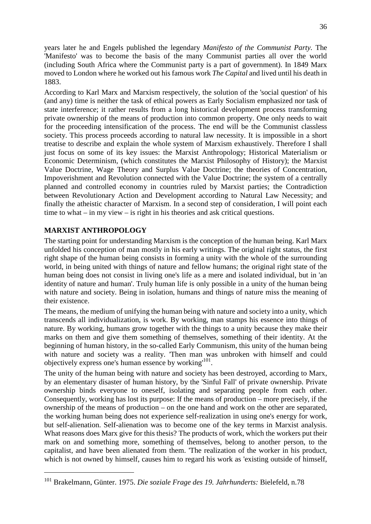<span id="page-35-0"></span>years later he and Engels published the legendary *Manifesto of the Communist Party.* The 'Manifesto' was to become the basis of the many Communist parties all over the world (including South Africa where the Communist party is a part of government). In 1849 Marx moved to London where he worked out his famous work *The Capital* and lived until his death in 1883.

According to Karl Marx and Marxism respectively, the solution of the 'social question' of his (and any) time is neither the task of ethical powers as Early Socialism emphasized nor task of state interference; it rather results from a long historical development process transforming private ownership of the means of production into common property. One only needs to wait for the proceeding intensification of the process. The end will be the Communist classless society. This process proceeds according to natural law necessity. It is impossible in a short treatise to describe and explain the whole system of Marxism exhaustively. Therefore I shall just focus on some of its key issues: the Marxist Anthropology; Historical Materialism or Economic Determinism, (which constitutes the Marxist Philosophy of History); the Marxist Value Doctrine, Wage Theory and Surplus Value Doctrine; the theories of Concentration, Impoverishment and Revolution connected with the Value Doctrine; the system of a centrally planned and controlled economy in countries ruled by Marxist parties; the Contradiction between Revolutionary Action and Development according to Natural Law Necessity; and finally the atheistic character of Marxism. In a second step of consideration, I will point each time to what – in my view – is right in his theories and ask critical questions.

#### **MARXIST ANTHROPOLOGY**

The starting point for understanding Marxism is the conception of the human being. Karl Marx unfolded his conception of man mostly in his early writings. The original right status, the first right shape of the human being consists in forming a unity with the whole of the surrounding world, in being united with things of nature and fellow humans; the original right state of the human being does not consist in living one's life as a mere and isolated individual, but in 'an identity of nature and human'. Truly human life is only possible in a unity of the human being with nature and society. Being in isolation, humans and things of nature miss the meaning of their existence.

The means, the medium of unifying the human being with nature and society into a unity, which transcends all individualization, is work. By working, man stamps his essence into things of nature. By working, humans grow together with the things to a unity because they make their marks on them and give them something of themselves, something of their identity. At the beginning of human history, in the so-called Early Communism, this unity of the human being with nature and society was a reality. 'Then man was unbroken with himself and could objectively express one's human essence by working<sup>[101](#page-35-1)</sup>.

The unity of the human being with nature and society has been destroyed, according to Marx, by an elementary disaster of human history, by the 'Sinful Fall' of private ownership. Private ownership binds everyone to oneself, isolating and separating people from each other. Consequently, working has lost its purpose: If the means of production – more precisely, if the ownership of the means of production – on the one hand and work on the other are separated, the working human being does not experience self-realization in using one's energy for work, but self-alienation. Self-alienation was to become one of the key terms in Marxist analysis. What reasons does Marx give for this thesis? The products of work, which the workers put their mark on and something more, something of themselves, belong to another person, to the capitalist, and have been alienated from them. 'The realization of the worker in his product, which is not owned by himself, causes him to regard his work as 'existing outside of himself,

<span id="page-35-1"></span><sup>101</sup> Brakelmann, Günter. 1975. *Die soziale Frage des 19. Jahrhunderts:* Bielefeld, n.78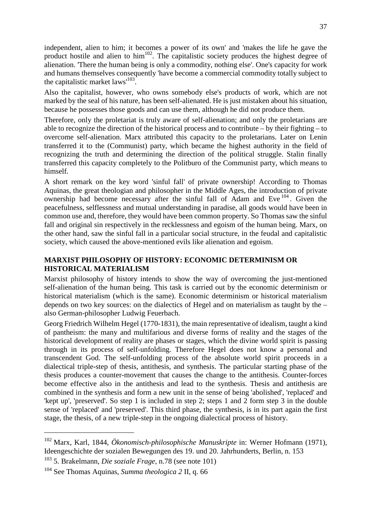<span id="page-36-0"></span>independent, alien to him; it becomes a power of its own' and 'makes the life he gave the producthostile and alien to hi[m](#page-36-1)<sup>102</sup>. The capitalistic society produces the highest degree of alienation. 'There the human being is only a commodity, nothing else'. One's capacity for work and humans themselves consequently 'have become a commercial commodity totally subject to thecapitalistic market  $laws'$  $laws'$ <sup>103</sup>.

Also the capitalist, however, who owns somebody else's products of work, which are not marked by the seal of his nature, has been self-alienated. He is just mistaken about his situation, because he possesses those goods and can use them, although he did not produce them.

Therefore, only the proletariat is truly aware of self-alienation; and only the proletarians are able to recognize the direction of the historical process and to contribute – by their fighting – to overcome self-alienation. Marx attributed this capacity to the proletarians. Later on Lenin transferred it to the (Communist) party, which became the highest authority in the field of recognizing the truth and determining the direction of the political struggle. Stalin finally transferred this capacity completely to the Politburo of the Communist party, which means to himself.

A short remark on the key word 'sinful fall' of private ownership! According to Thomas Aquinas, the great theologian and philosopher in the Middle Ages, the introduction of private ownership had become necessary after the sinful fall of Adam andEve <sup>104</sup> . Given the peacefulness, selflessness and mutual understanding in paradise, all goods would have been in common use and, therefore, they would have been common property. So Thomas saw the sinful fall and original sin respectively in the recklessness and egoism of the human being. Marx, on the other hand, saw the sinful fall in a particular social structure, in the feudal and capitalistic society, which caused the above-mentioned evils like alienation and egoism.

#### **MARXIST PHILOSOPHY OF HISTORY: ECONOMIC DETERMINISM OR HISTORICAL MATERIALISM**

Marxist philosophy of history intends to show the way of overcoming the just-mentioned self-alienation of the human being. This task is carried out by the economic determinism or historical materialism (which is the same). Economic determinism or historical materialism depends on two key sources: on the dialectics of Hegel and on materialism as taught by the – also German-philosopher Ludwig Feuerbach.

Georg Friedrich Wilhelm Hegel (1770-1831), the main representative of idealism, taught a kind of pantheism: the many and multifarious and diverse forms of reality and the stages of the historical development of reality are phases or stages, which the divine world spirit is passing through in its process of self-unfolding. Therefore Hegel does not know a personal and transcendent God. The self-unfolding process of the absolute world spirit proceeds in a dialectical triple-step of thesis, antithesis, and synthesis. The particular starting phase of the thesis produces a counter-movement that causes the change to the antithesis. Counter-forces become effective also in the antithesis and lead to the synthesis. Thesis and antithesis are combined in the synthesis and form a new unit in the sense of being 'abolished', 'replaced' and 'kept up', 'preserved'. So step 1 is included in step 2; steps 1 and 2 form step 3 in the double sense of 'replaced' and 'preserved'. This third phase, the synthesis, is in its part again the first stage, the thesis, of a new triple-step in the ongoing dialectical process of history.

<span id="page-36-1"></span><sup>102</sup> Marx, Karl, 1844, *Ökonomisch-philosophische Manuskripte* in: Werner Hofmann (1971), Ideengeschichte der sozialen Bewegungen des 19. und 20. Jahrhunderts, Berlin, n. 153

<span id="page-36-2"></span><sup>103</sup> 5. Brakelmann, *Die soziale Frage,* n.78 (see note 101)

<span id="page-36-3"></span><sup>104</sup> See Thomas Aquinas, *Summa theologica 2* II, q. 66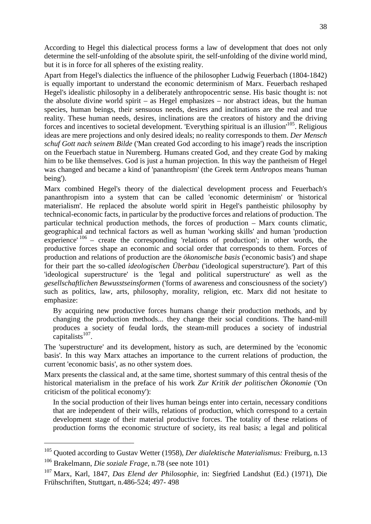According to Hegel this dialectical process forms a law of development that does not only determine the self-unfolding of the absolute spirit, the self-unfolding of the divine world mind, but it is in force for all spheres of the existing reality.

Apart from Hegel's dialectics the influence of the philosopher Ludwig Feuerbach (1804-1842) is equally important to understand the economic determinism of Marx. Feuerbach reshaped Hegel's idealistic philosophy in a deliberately anthropocentric sense. His basic thought is: not the absolute divine world spirit – as Hegel emphasizes – nor abstract ideas, but the human species, human beings, their sensuous needs, desires and inclinations are the real and true reality. These human needs, desires, inclinations are the creators of history and the driving forces and incentives to societal development. 'Everything spiritual is an illusion'[105](#page-37-0). Religious ideas are mere projections and only desired ideals; no reality corresponds to them. *Der Mensch schuf Gott nach seinem Bilde* ('Man created God according to his image') reads the inscription on the Feuerbach statue in Nuremberg. Humans created God, and they create God by making him to be like themselves. God is just a human projection. In this way the pantheism of Hegel was changed and became a kind of 'pananthropism' (the Greek term *Anthropos* means 'human being').

Marx combined Hegel's theory of the dialectical development process and Feuerbach's pananthropism into a system that can be called 'economic determinism' or 'historical materialism'. He replaced the absolute world spirit in Hegel's pantheistic philosophy by technical-economic facts, in particular by the productive forces and relations of production. The particular technical production methods, the forces of production – Marx counts climatic, geographical and technical factors as well as human 'working skills' and human 'production experience'  $106$  – create the corresponding 'relations of production'; in other words, the productive forces shape an economic and social order that corresponds to them. Forces of production and relations of production are the *ökonomische basis* ('economic basis') and shape for their part the so-called *ideologischen Überbau* ('ideological superstructure'). Part of this 'ideological superstructure' is the 'legal and political superstructure' as well as the *gesellschaftlichen Bewusstseinsformen* ('forms of awareness and consciousness of the society') such as politics, law, arts, philosophy, morality, religion, etc. Marx did not hesitate to emphasize:

By acquiring new productive forces humans change their production methods, and by changing the production methods... they change their social conditions. The hand-mill produces a society of feudal lords, the steam-mill produces a society of industrial  $\frac{1}{2}$ capitalists<sup>[107](#page-37-2)</sup>.

The 'superstructure' and its development, history as such, are determined by the 'economic basis'. In this way Marx attaches an importance to the current relations of production, the current 'economic basis', as no other system does.

Marx presents the classical and, at the same time, shortest summary of this central thesis of the historical materialism in the preface of his work *Zur Kritik der politischen Ökonomie* ('On criticism of the political economy'):

In the social production of their lives human beings enter into certain, necessary conditions that are independent of their wills, relations of production, which correspond to a certain development stage of their material productive forces. The totality of these relations of production forms the economic structure of society, its real basis; a legal and political

<span id="page-37-1"></span><span id="page-37-0"></span><sup>105</sup> Quoted according to Gustav Wetter (1958), *Der dialektische Materialismus:* Freiburg, n.13 <sup>106</sup> Brakelmann, *Die soziale Frage,* n.78 (see note 101)

<span id="page-37-2"></span><sup>107</sup> Marx, Karl, 1847, *Das Elend der Philosophie,* in: Siegfried Landshut (Ed.) (1971), Die Frühschriften, Stuttgart, n.486-524; 497- 498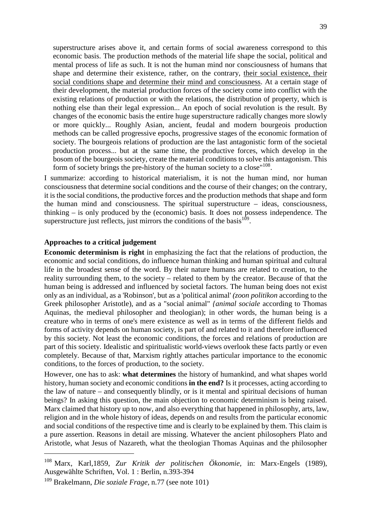superstructure arises above it, and certain forms of social awareness correspond to this economic basis. The production methods of the material life shape the social, political and mental process of life as such. It is not the human mind nor consciousness of humans that shape and determine their existence, rather, on the contrary, their social existence, their social conditions shape and determine their mind and consciousness. At a certain stage of their development, the material production forces of the society come into conflict with the existing relations of production or with the relations, the distribution of property, which is nothing else than their legal expression... An epoch of social revolution is the result. By changes of the economic basis the entire huge superstructure radically changes more slowly or more quickly... Roughly Asian, ancient, feudal and modern bourgeois production methods can be called progressive epochs, progressive stages of the economic formation of society. The bourgeois relations of production are the last antagonistic form of the societal production process... but at the same time, the productive forces, which develop in the bosom of the bourgeois society, create the material conditions to solve this antagonism. This form of society brings the pre-history of the human society to a close"<sup>[108](#page-38-0)</sup>.

I summarize: according to historical materialism, it is not the human mind, nor human consciousness that determine social conditions and the course of their changes; on the contrary, it is the social conditions, the productive forces and the production methods that shape and form the human mind and consciousness. The spiritual superstructure – ideas, consciousness, thinking – is only produced by the (economic) basis. It does not possess independence. The superstructureju[s](#page-38-1)t reflects, just mirrors the conditions of the basis $109$ .

#### **Approaches to a critical judgement**

**Economic determinism is right** in emphasizing the fact that the relations of production, the economic and social conditions, do influence human thinking and human spiritual and cultural life in the broadest sense of the word. By their nature humans are related to creation, to the reality surrounding them, to the society – related to them by the creator. Because of that the human being is addressed and influenced by societal factors. The human being does not exist only as an individual, as a 'Robinson', but as a 'political animal' *(zoon politikon* according to the Greek philosopher Aristotle), and as a "social animal" *{animal sociale* according to Thomas Aquinas, the medieval philosopher and theologian); in other words, the human being is a creature who in terms of one's mere existence as well as in terms of the different fields and forms of activity depends on human society, is part of and related to it and therefore influenced by this society. Not least the economic conditions, the forces and relations of production are part of this society. Idealistic and spiritualistic world-views overlook these facts partly or even completely. Because of that, Marxism rightly attaches particular importance to the economic conditions, to the forces of production, to the society.

However, one has to ask: **what determines** the history of humankind, and what shapes world history, human society and economic conditions **in the end?** Is it processes, acting according to the law of nature – and consequently blindly, or is it mental and spiritual decisions of human beings? In asking this question, the main objection to economic determinism is being raised. Marx claimed that history up to now, and also everything that happened in philosophy, arts, law, religion and in the whole history of ideas, depends on and results from the particular economic and social conditions of the respective time and is clearly to be explained by them. This claim is a pure assertion. Reasons in detail are missing. Whatever the ancient philosophers Plato and Aristotle, what Jesus of Nazareth, what the theologian Thomas Aquinas and the philosopher

<span id="page-38-0"></span><sup>108</sup> Marx, Karl,1859, *Zur Kritik der politischen Ökonomie,* in: Marx-Engels (1989), Ausgewählte Schriften, Vol. 1 : Berlin, n.393-394

<span id="page-38-1"></span><sup>109</sup> Brakelmann, *Die soziale Frage,* n.77 (see note 101)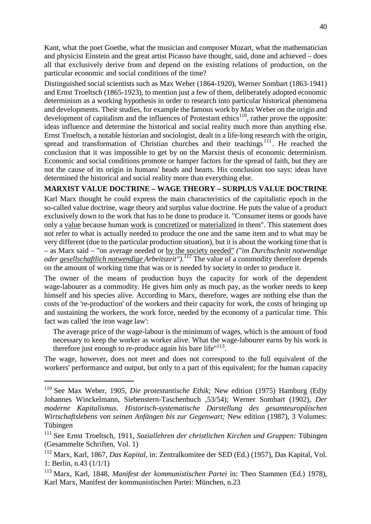Kant, what the poet Goethe, what the musician and composer Mozart, what the mathematician and physicist Einstein and the great artist Picasso have thought, said, done and achieved – does all that exclusively derive from and depend on the existing relations of production, on the particular economic and social conditions of the time?

Distinguished social scientists such as Max Weber (1864-1920), Werner Sombart (1863-1941) and Ernst Troeltsch (1865-1923), to mention just a few of them, deliberately adopted economic determinism as a working hypothesis in order to research into particular historical phenomena and developments. Their studies, for example the famous work by Max Weber on the origin and development of capitalism and the influences of Protestant ethics<sup>[110](#page-39-0)</sup>, rather prove the opposite: ideas influence and determine the historical and social reality much more than anything else. Ernst Troeltsch, a notable historian and sociologist, dealt in a life-long research with the origin, spread and transformation of Christian churches and their teachings<sup>[111](#page-39-1)</sup>. He reached the conclusion that it was impossible to get by on the Marxist thesis of economic determinism. Economic and social conditions promote or hamper factors for the spread of faith, but they are not the cause of its origin in humans' heads and hearts. His conclusion too says: ideas have determined the historical and social reality more than everything else.

#### **MARXIST VALUE DOCTRINE – WAGE THEORY – SURPLUS VALUE DOCTRINE**

Karl Marx thought he could express the main characteristics of the capitalistic epoch in the so-called value doctrine, wage theory and surplus value doctrine. He puts the value of a product exclusively down to the work that has to be done to produce it. "Consumer items or goods have only a value because human work is concretized or materialized in them". This statement does not refer to what is actually needed to produce the one and the same item and to what may be very different (due to the particular production situation), but it is about the working time that is – as Marx said – "on average needed or by the society needed" *("im Durchschnitt notwendige oder gesellschaftlich notwendige Arbeitszeit"*).<sup>*[112](#page-39-2)*</sup> The value of a commodity therefore depends on the amount of working time that was or is needed by society in order to produce it.

The owner of the means of production buys the capacity for work of the dependent wage-labourer as a commodity. He gives him only as much pay, as the worker needs to keep himself and his species alive. According to Marx, therefore, wages are nothing else than the costs of the 're-production' of the workers and their capacity for work, the costs of bringing up and sustaining the workers, the work force, needed by the economy of a particular time. This fact was called 'the iron wage law':

The average price of the wage-labour is the minimum of wages, which is the amount of food necessary to keep the worker as worker alive. What the wage-labourer earns by his work is thereforejust enough to re-produce again his bare life["](#page-39-3) $113$ .

The wage, however, does not meet and does not correspond to the full equivalent of the workers' performance and output, but only to a part of this equivalent; for the human capacity

<span id="page-39-0"></span><sup>110</sup> See Max Weber, 1905, *Die protestantische Ethik;* New edition (1975) Hamburg (Ed)y Johannes Winckelmann, Siebenstern-Taschenbuch ,53/54); Werner Sombart (1902), *Der moderne Kapitalismus. Historisch-systematische Darstellung des gesamteuropäischen Wirtschaftslebens von seinen Anfängen bis zur Gegenwart;* New edition (1987), 3 Volumes: Tübingen

<span id="page-39-1"></span><sup>111</sup> See Ernst Troeltsch, 1911, *Soziallehren der christlichen Kirchen und Gruppen:* Tübingen (Gesammelte Schriften, Vol. 1)

<span id="page-39-2"></span><sup>112</sup> Marx, Karl, 1867, *Das Kapital,* in: Zentralkomitee der SED (Ed.) (1957), Das Kapital, Vol. 1: Berlin, n.43 (1/1/1)

<span id="page-39-3"></span><sup>113</sup> Marx, Karl, 1848, *Manifest der kommunistischen Partei* in: Theo Stammen (Ed.) 1978), Karl Marx, Manifest der kommunistischen Partei: München, n.23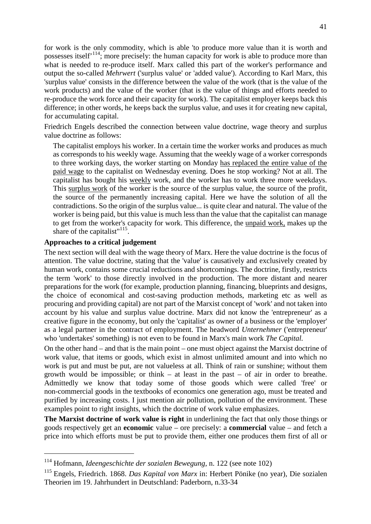for work is the only commodity, which is able 'to produce more value than it is worth and possesses itself'[114](#page-40-0); more precisely: the human capacity for work is able to produce more than what is needed to re-produce itself. Marx called this part of the worker's performance and output the so-called *Mehrwert* ('surplus value' or 'added value'). According to Karl Marx, this 'surplus value' consists in the difference between the value of the work (that is the value of the work products) and the value of the worker (that is the value of things and efforts needed to re-produce the work force and their capacity for work). The capitalist employer keeps back this difference; in other words, he keeps back the surplus value, and uses it for creating new capital, for accumulating capital.

Friedrich Engels described the connection between value doctrine, wage theory and surplus value doctrine as follows:

The capitalist employs his worker. In a certain time the worker works and produces as much as corresponds to his weekly wage. Assuming that the weekly wage of a worker corresponds to three working days, the worker starting on Monday has replaced the entire value of the paid wage to the capitalist on Wednesday evening. Does he stop working? Not at all. The capitalist has bought his weekly work, and the worker has to work three more weekdays. This surplus work of the worker is the source of the surplus value, the source of the profit, the source of the permanently increasing capital. Here we have the solution of all the contradictions. So the origin of the surplus value... is quite clear and natural. The value of the worker is being paid, but this value is much less than the value that the capitalist can manage to get from the worker's capacity for work. This difference, the unpaid work, makes up the share of the capitalist"<sup>[115](#page-40-1)</sup>.

#### **Approaches to a critical judgement**

The next section will deal with the wage theory of Marx. Here the value doctrine is the focus of attention. The value doctrine, stating that the 'value' is causatively and exclusively created by human work, contains some crucial reductions and shortcomings. The doctrine, firstly, restricts the term 'work' to those directly involved in the production. The more distant and nearer preparations for the work (for example, production planning, financing, blueprints and designs, the choice of economical and cost-saving production methods, marketing etc as well as procuring and providing capital) are not part of the Marxist concept of 'work' and not taken into account by his value and surplus value doctrine. Marx did not know the 'entrepreneur' as a creative figure in the economy, but only the 'capitalist' as owner of a business or the 'employer' as a legal partner in the contract of employment. The headword *Unternehmer* ('entrepreneur' who 'undertakes' something) is not even to be found in Marx's main work *The Capital.*

On the other hand – and that is the main point – one must object against the Marxist doctrine of work value, that items or goods, which exist in almost unlimited amount and into which no work is put and must be put, are not valueless at all. Think of rain or sunshine; without them growth would be impossible; or think – at least in the past – of air in order to breathe. Admittedly we know that today some of those goods which were called 'free' or non-commercial goods in the textbooks of economics one generation ago, must be treated and purified by increasing costs. I just mention air pollution, pollution of the environment. These examples point to right insights, which the doctrine of work value emphasizes.

**The Marxist doctrine of work value is right** in underlining the fact that only those things or goods respectively get an **economic** value – ore precisely: a **commercial** value – and fetch a price into which efforts must be put to provide them, either one produces them first of all or

<span id="page-40-0"></span><sup>114</sup> Hofmann, *Ideengeschichte der sozialen Bewegung,* n. 122 (see note 102)

<span id="page-40-1"></span><sup>115</sup> Engels, Friedrich. 1868. *Das Kapital von Marx* in: Herbert Pönike (no year), Die sozialen Theorien im 19. Jahrhundert in Deutschland: Paderborn, n.33-34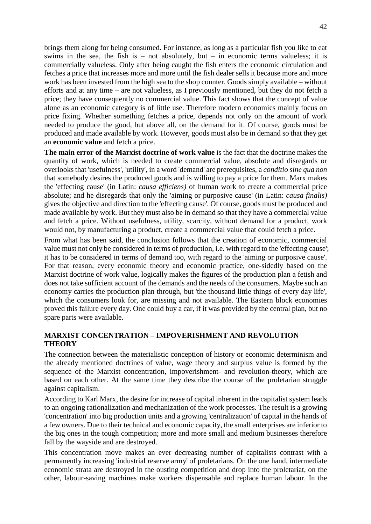<span id="page-41-0"></span>brings them along for being consumed. For instance, as long as a particular fish you like to eat swims in the sea, the fish is – not absolutely, but – in economic terms valueless; it is commercially valueless. Only after being caught the fish enters the economic circulation and fetches a price that increases more and more until the fish dealer sells it because more and more work has been invested from the high sea to the shop counter. Goods simply available – without efforts and at any time – are not valueless, as I previously mentioned, but they do not fetch a price; they have consequently no commercial value. This fact shows that the concept of value alone as an economic category is of little use. Therefore modern economics mainly focus on price fixing. Whether something fetches a price, depends not only on the amount of work needed to produce the good, but above all, on the demand for it. Of course, goods must be produced and made available by work. However, goods must also be in demand so that they get an **economic value** and fetch a price.

**The main error of the Marxist doctrine of work value** is the fact that the doctrine makes the quantity of work, which is needed to create commercial value, absolute and disregards or overlooks that 'usefulness', 'utility', in a word 'demand' are prerequisites, a *conditio sine qua non* that somebody desires the produced goods and is willing to pay a price for them. Marx makes the 'effecting cause' (in Latin: *causa efficiens)* of human work to create a commercial price absolute; and he disregards that only the 'aiming or purposive cause' (in Latin: *causa finalis)* gives the objective and direction to the 'effecting cause'. Of course, goods must be produced and made available by work. But they must also be in demand so that they have a commercial value and fetch a price. Without usefulness, utility, scarcity, without demand for a product, work would not, by manufacturing a product, create a commercial value that could fetch a price.

From what has been said, the conclusion follows that the creation of economic, commercial value must not only be considered in terms of production, i.e. with regard to the 'effecting cause'; it has to be considered in terms of demand too, with regard to the 'aiming or purposive cause'. For that reason, every economic theory and economic practice, one-sidedly based on the Marxist doctrine of work value, logically makes the figures of the production plan a fetish and does not take sufficient account of the demands and the needs of the consumers. Maybe such an economy carries the production plan through, but 'the thousand little things of every day life', which the consumers look for, are missing and not available. The Eastern block economies proved this failure every day. One could buy a car, if it was provided by the central plan, but no spare parts were available.

#### **MARXIST CONCENTRATION – IMPOVERISHMENT AND REVOLUTION THEORY**

The connection between the materialistic conception of history or economic determinism and the already mentioned doctrines of value, wage theory and surplus value is formed by the sequence of the Marxist concentration, impoverishment- and revolution-theory, which are based on each other. At the same time they describe the course of the proletarian struggle against capitalism.

According to Karl Marx, the desire for increase of capital inherent in the capitalist system leads to an ongoing rationalization and mechanization of the work processes. The result is a growing 'concentration' into big production units and a growing 'centralization' of capital in the hands of a few owners. Due to their technical and economic capacity, the small enterprises are inferior to the big ones in the tough competition; more and more small and medium businesses therefore fall by the wayside and are destroyed.

This concentration move makes an ever decreasing number of capitalists contrast with a permanently increasing 'industrial reserve army' of proletarians. On the one hand, intermediate economic strata are destroyed in the ousting competition and drop into the proletariat, on the other, labour-saving machines make workers dispensable and replace human labour. In the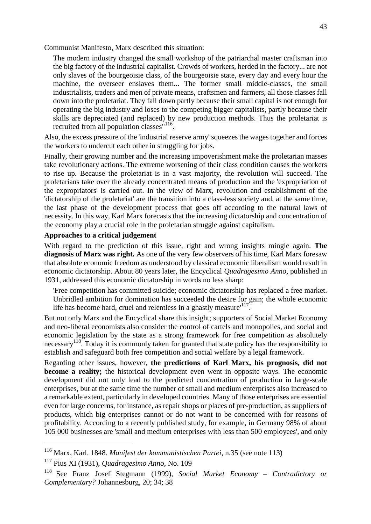Communist Manifesto, Marx described this situation:

The modern industry changed the small workshop of the patriarchal master craftsman into the big factory of the industrial capitalist. Crowds of workers, herded in the factory... are not only slaves of the bourgeoisie class, of the bourgeoisie state, every day and every hour the machine, the overseer enslaves them... The former small middle-classes, the small industrialists, traders and men of private means, craftsmen and farmers, all those classes fall down into the proletariat. They fall down partly because their small capital is not enough for operating the big industry and loses to the competing bigger capitalists, partly because their skills are depreciated (and replaced) by new production methods. Thus the proletariat is recruited from all population classes"<sup>[116](#page-42-0)</sup>.

Also, the excess pressure of the 'industrial reserve army' squeezes the wages together and forces the workers to undercut each other in struggling for jobs.

Finally, their growing number and the increasing impoverishment make the proletarian masses take revolutionary actions. The extreme worsening of their class condition causes the workers to rise up. Because the proletariat is in a vast majority, the revolution will succeed. The proletarians take over the already concentrated means of production and the 'expropriation of the expropriators' is carried out. In the view of Marx, revolution and establishment of the 'dictatorship of the proletariat' are the transition into a class-less society and, at the same time, the last phase of the development process that goes off according to the natural laws of necessity. In this way, Karl Marx forecasts that the increasing dictatorship and concentration of the economy play a crucial role in the proletarian struggle against capitalism.

#### **Approaches to a critical judgement**

With regard to the prediction of this issue, right and wrong insights mingle again. **The diagnosis of Marx was right.** As one of the very few observers of his time, Karl Marx foresaw that absolute economic freedom as understood by classical economic liberalism would result in economic dictatorship. About 80 years later, the Encyclical *Quadragesimo Anno,* published in 1931, addressed this economic dictatorship in words no less sharp:

'Free competition has committed suicide; economic dictatorship has replaced a free market. Unbridled ambition for domination has succeeded the desire for gain; the whole economic life has become hard, cruel and relentless in a ghastly measure<sup> $117$ </sup>.

But not only Marx and the Encyclical share this insight; supporters of Social Market Economy and neo-liberal economists also consider the control of cartels and monopolies, and social and economic legislation by the state as a strong framework for free competition as absolutely necessary<sup>[118](#page-42-2)</sup>. Today it is commonly taken for granted that state policy has the responsibility to establish and safeguard both free competition and social welfare by a legal framework.

Regarding other issues, however, **the predictions of Karl Marx, his prognosis, did not become a reality;** the historical development even went in opposite ways. The economic development did not only lead to the predicted concentration of production in large-scale enterprises, but at the same time the number of small and medium enterprises also increased to a remarkable extent, particularly in developed countries. Many of those enterprises are essential even for large concerns, for instance, as repair shops or places of pre-production, as suppliers of products, which big enterprises cannot or do not want to be concerned with for reasons of profitability. According to a recently published study, for example, in Germany 98% of about 105 000 businesses are 'small and medium enterprises with less than 500 employees', and only

<span id="page-42-0"></span><sup>116</sup> Marx, Karl. 1848. *Manifest der kommunistischen Partei*, n.35 (see note 113)

<span id="page-42-1"></span><sup>117</sup> Pius XI (1931), *Quadragesimo Anno,* No. 109

<span id="page-42-2"></span><sup>118</sup> See Franz Josef Stegmann (1999), *Social Market Economy – Contradictory or Complementary?* Johannesburg, 20; 34; 38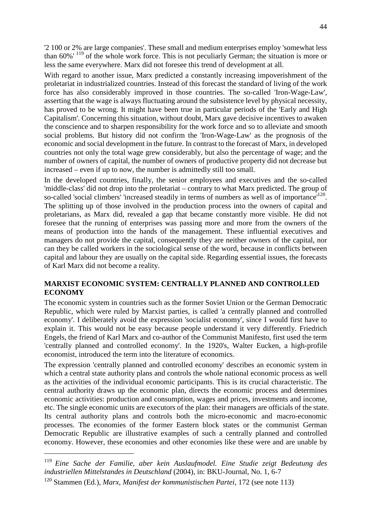<span id="page-43-0"></span>'2 100 or 2% are large companies'. These small and medium enterprises employ 'somewhat less than 60%' [119](#page-43-1) of the whole work force. This is not peculiarly German; the situation is more or less the same everywhere. Marx did not foresee this trend of development at all.

With regard to another issue, Marx predicted a constantly increasing impoverishment of the proletariat in industrialized countries. Instead of this forecast the standard of living of the work force has also considerably improved in those countries. The so-called 'Iron-Wage-Law', asserting that the wage is always fluctuating around the subsistence level by physical necessity, has proved to be wrong. It might have been true in particular periods of the 'Early and High Capitalism'. Concerning this situation, without doubt, Marx gave decisive incentives to awaken the conscience and to sharpen responsibility for the work force and so to alleviate and smooth social problems. But history did not confirm the 'Iron-Wage-Law' as the prognosis of the economic and social development in the future. In contrast to the forecast of Marx, in developed countries not only the total wage grew considerably, but also the percentage of wage; and the number of owners of capital, the number of owners of productive property did not decrease but increased – even if up to now, the number is admittedly still too small.

In the developed countries, finally, the senior employees and executives and the so-called 'middle-class' did not drop into the proletariat – contrary to what Marx predicted. The group of so-called 'social climbers' 'increased steadily in terms of numbers as well as of importance'<sup>[120](#page-43-2)</sup>. The splitting up of those involved in the production process into the owners of capital and proletarians, as Marx did, revealed a gap that became constantly more visible. He did not foresee that the running of enterprises was passing more and more from the owners of the means of production into the hands of the management. These influential executives and managers do not provide the capital, consequently they are neither owners of the capital, nor can they be called workers in the sociological sense of the word, because in conflicts between capital and labour they are usually on the capital side. Regarding essential issues, the forecasts of Karl Marx did not become a reality.

#### **MARXIST ECONOMIC SYSTEM: CENTRALLY PLANNED AND CONTROLLED ECONOMY**

The economic system in countries such as the former Soviet Union or the German Democratic Republic, which were ruled by Marxist parties, is called 'a centrally planned and controlled economy'. I deliberately avoid the expression 'socialist economy', since I would first have to explain it. This would not be easy because people understand it very differently. Friedrich Engels, the friend of Karl Marx and co-author of the Communist Manifesto, first used the term 'centrally planned and controlled economy'. In the 1920's, Walter Eucken, a high-profile economist, introduced the term into the literature of economics.

The expression 'centrally planned and controlled economy' describes an economic system in which a central state authority plans and controls the whole national economic process as well as the activities of the individual economic participants. This is its crucial characteristic. The central authority draws up the economic plan, directs the economic process and determines economic activities: production and consumption, wages and prices, investments and income, etc. The single economic units are executors of the plan: their managers are officials of the state. Its central authority plans and controls both the micro-economic and macro-economic processes. The economies of the former Eastern block states or the communist German Democratic Republic are illustrative examples of such a centrally planned and controlled economy. However, these economies and other economies like these were and are unable by

<span id="page-43-1"></span><sup>119</sup> *Eine Sache der Familie, aber kein Auslaufmodel. Eine Studie zeigt Bedeutung des industriellen Mittelstandes in Deutschland* (2004), in: BKU-Journal, No. 1, 6-7

<span id="page-43-2"></span><sup>120</sup> Stammen (Ed.), *Marx, Manifest der kommunistischen Partei,* 172 (see note 113)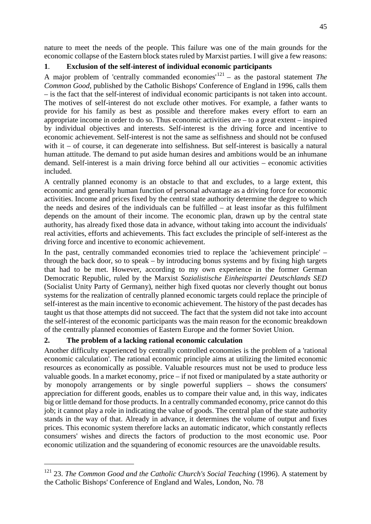nature to meet the needs of the people. This failure was one of the main grounds for the economic collapse of the Eastern block states ruled by Marxist parties. I will give a few reasons:

## **1**. **Exclusion of the self-interest of individual economic participants**

A major problem of 'centrally commanded economies'[121](#page-44-0) – as the pastoral statement *The Common Good,* published by the Catholic Bishops' Conference of England in 1996, calls them – is the fact that the self-interest of individual economic participants is not taken into account. The motives of self-interest do not exclude other motives. For example, a father wants to provide for his family as best as possible and therefore makes every effort to earn an appropriate income in order to do so. Thus economic activities are – to a great extent – inspired by individual objectives and interests. Self-interest is the driving force and incentive to economic achievement. Self-interest is not the same as selfishness and should not be confused with it – of course, it can degenerate into selfishness. But self-interest is basically a natural human attitude. The demand to put aside human desires and ambitions would be an inhumane demand. Self-interest is a main driving force behind all our activities – economic activities included.

A centrally planned economy is an obstacle to that and excludes, to a large extent, this economic and generally human function of personal advantage as a driving force for economic activities. Income and prices fixed by the central state authority determine the degree to which the needs and desires of the individuals can be fulfilled – at least insofar as this fulfilment depends on the amount of their income. The economic plan, drawn up by the central state authority, has already fixed those data in advance, without taking into account the individuals' real activities, efforts and achievements. This fact excludes the principle of self-interest as the driving force and incentive to economic achievement.

In the past, centrally commanded economies tried to replace the 'achievement principle' – through the back door, so to speak – by introducing bonus systems and by fixing high targets that had to be met. However, according to my own experience in the former German Democratic Republic, ruled by the Marxist *Sozialistische Einheitspartei Deutschlands SED* (Socialist Unity Party of Germany), neither high fixed quotas nor cleverly thought out bonus systems for the realization of centrally planned economic targets could replace the principle of self-interest as the main incentive to economic achievement. The history of the past decades has taught us that those attempts did not succeed. The fact that the system did not take into account the self-interest of the economic participants was the main reason for the economic breakdown of the centrally planned economies of Eastern Europe and the former Soviet Union.

# **2. The problem of a lacking rational economic calculation**

Another difficulty experienced by centrally controlled economies is the problem of a 'rational economic calculation'. The rational economic principle aims at utilizing the limited economic resources as economically as possible. Valuable resources must not be used to produce less valuable goods. In a market economy, price – if not fixed or manipulated by a state authority or by monopoly arrangements or by single powerful suppliers – shows the consumers' appreciation for different goods, enables us to compare their value and, in this way, indicates big or little demand for those products. In a centrally commanded economy, price cannot do this job; it cannot play a role in indicating the value of goods. The central plan of the state authority stands in the way of that. Already in advance, it determines the volume of output and fixes prices. This economic system therefore lacks an automatic indicator, which constantly reflects consumers' wishes and directs the factors of production to the most economic use. Poor economic utilization and the squandering of economic resources are the unavoidable results.

<span id="page-44-0"></span><sup>121</sup> 23. *The Common Good and the Catholic Church's Social Teaching* (1996). A statement by the Catholic Bishops' Conference of England and Wales, London, No. 78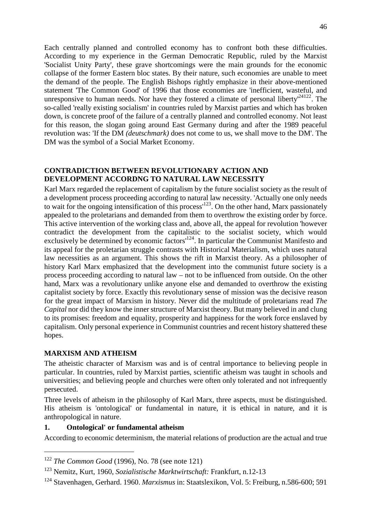<span id="page-45-0"></span>Each centrally planned and controlled economy has to confront both these difficulties. According to my experience in the German Democratic Republic, ruled by the Marxist 'Socialist Unity Party', these grave shortcomings were the main grounds for the economic collapse of the former Eastern bloc states. By their nature, such economies are unable to meet the demand of the people. The English Bishops rightly emphasize in their above-mentioned statement 'The Common Good' of 1996 that those economies are 'inefficient, wasteful, and unresponsive to human needs. Nor have they fostered a climate of personal liberty<sup> $24122$  $24122$ </sup>. The so-called 'really existing socialism' in countries ruled by Marxist parties and which has broken down, is concrete proof of the failure of a centrally planned and controlled economy. Not least for this reason, the slogan going around East Germany during and after the 1989 peaceful revolution was: 'If the DM *(deutschmark)* does not come to us, we shall move to the DM'. The DM was the symbol of a Social Market Economy.

## **CONTRADICTION BETWEEN REVOLUTIONARY ACTION AND DEVELOPMENT ACCORDNG TO NATURAL LAW NECESSITY**

Karl Marx regarded the replacement of capitalism by the future socialist society as the result of a development process proceeding according to natural law necessity. 'Actually one only needs to wait for the ongoing intensification of this process<sup> $123$ </sup>. On the other hand, Marx passionately appealed to the proletarians and demanded from them to overthrow the existing order by force. This active intervention of the working class and, above all, the appeal for revolution 'however contradict the development from the capitalistic to the socialist society, which would exclusively be determined by economic factors<sup>[124](#page-45-3)</sup>. In particular the Communist Manifesto and its appeal for the proletarian struggle contrasts with Historical Materialism, which uses natural law necessities as an argument. This shows the rift in Marxist theory. As a philosopher of history Karl Marx emphasized that the development into the communist future society is a process proceeding according to natural law – not to be influenced from outside. On the other hand, Marx was a revolutionary unlike anyone else and demanded to overthrow the existing capitalist society by force. Exactly this revolutionary sense of mission was the decisive reason for the great impact of Marxism in history. Never did the multitude of proletarians read *The Capital* nor did they know the inner structure of Marxist theory. But many believed in and clung to its promises: freedom and equality, prosperity and happiness for the work force enslaved by capitalism. Only personal experience in Communist countries and recent history shattered these hopes.

#### **MARXISM AND ATHEISM**

The atheistic character of Marxism was and is of central importance to believing people in particular. In countries, ruled by Marxist parties, scientific atheism was taught in schools and universities; and believing people and churches were often only tolerated and not infrequently persecuted.

Three levels of atheism in the philosophy of Karl Marx, three aspects, must be distinguished. His atheism is 'ontological' or fundamental in nature, it is ethical in nature, and it is anthropological in nature.

#### **1. Ontological' or fundamental atheism**

According to economic determinism, the material relations of production are the actual and true

<span id="page-45-1"></span><sup>122</sup> *The Common Good* (1996), No. 78 (see note 121)

<span id="page-45-2"></span><sup>123</sup> Nemitz, Kurt, 1960, *Sozialistische Marktwirtschaft:* Frankfurt, n.12-13

<span id="page-45-3"></span><sup>124</sup> Stavenhagen, Gerhard. 1960. *Marxismus* in: Staatslexikon, Vol. 5: Freiburg, n.586-600; 591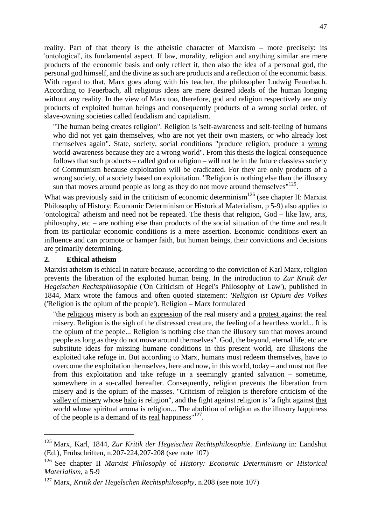reality. Part of that theory is the atheistic character of Marxism – more precisely: its 'ontological', its fundamental aspect. If law, morality, religion and anything similar are mere products of the economic basis and only reflect it, then also the idea of a personal god, the personal god himself, and the divine as such are products and a reflection of the economic basis. With regard to that, Marx goes along with his teacher, the philosopher Ludwig Feuerbach. According to Feuerbach, all religious ideas are mere desired ideals of the human longing without any reality. In the view of Marx too, therefore, god and religion respectively are only products of exploited human beings and consequently products of a wrong social order, of slave-owning societies called feudalism and capitalism.

"The human being creates religion". Religion is 'self-awareness and self-feeling of humans who did not yet gain themselves, who are not yet their own masters, or who already lost themselves again". State, society, social conditions "produce religion, produce a wrong world-awareness because they are a wrong world". From this thesis the logical consequence follows that such products – called god or religion – will not be in the future classless society of Communism because exploitation will be eradicated. For they are only products of a wrong society, of a society based on exploitation. "Religion is nothing else than the illusory sun that moves around people as long as they do not move around themselves" $125$ .

What was previously said in the criticism of economic determinism<sup>[126](#page-46-1)</sup> (see chapter II: Marxist Philosophy of History: Economic Determinism or Historical Materialism, p 5-9) also applies to 'ontological' atheism and need not be repeated. The thesis that religion, God – like law, arts, philosophy, etc – are nothing else than products of the social situation of the time and result from its particular economic conditions is a mere assertion. Economic conditions exert an influence and can promote or hamper faith, but human beings, their convictions and decisions are primarily determining.

#### **2. Ethical atheism**

Marxist atheism is ethical in nature because, according to the conviction of Karl Marx, religion prevents the liberation of the exploited human being. In the introduction to *Zur Kritik der Hegeischen Rechtsphilosophie* ('On Criticism of Hegel's Philosophy of Law'), published in 1844, Marx wrote the famous and often quoted statement: *'Religion ist Opium des Volkes* ('Religion is the opium of the people'). Religion – Marx formulated

"the religious misery is both an expression of the real misery and a protest against the real misery. Religion is the sigh of the distressed creature, the feeling of a heartless world... It is the opium of the people... Religion is nothing else than the illusory sun that moves around people as long as they do not move around themselves". God, the beyond, eternal life, etc are substitute ideas for missing humane conditions in this present world, are illusions the exploited take refuge in. But according to Marx, humans must redeem themselves, have to overcome the exploitation themselves, here and now, in this world, today – and must not flee from this exploitation and take refuge in a seemingly granted salvation – sometime, somewhere in a so-called hereafter. Consequently, religion prevents the liberation from misery and is the opium of the masses. "Critcism of religion is therefore criticism of the valley of misery whose halo is religion", and the fight against religion is "a fight against that world whose spiritual aroma is religion... The abolition of religion as the illusory happiness of the people is a demand of its real happiness" $127$ .

<span id="page-46-0"></span><sup>125</sup> Marx, Karl, 1844, *Zur Kritik der Hegeischen Rechtsphilosophie. Einleitung* in: Landshut (Ed.), Frühschriften, n.207-224,207-208 (see note 107)

<span id="page-46-1"></span><sup>126</sup> See chapter II *Marxist Philosophy* of *History: Economic Determinism or Historical Materialism,* a 5-9

<span id="page-46-2"></span><sup>127</sup> Marx, *Kritik der Hegelschen Rechtsphilosophy,* n.208 (see note 107)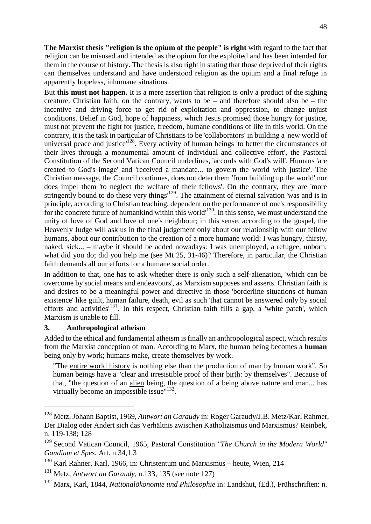**The Marxist thesis "religion is the opium of the people" is right** with regard to the fact that religion can be misused and intended as the opium for the exploited and has been intended for them in the course of history. The thesis is also right in stating that those deprived of their rights can themselves understand and have understood religion as the opium and a final refuge in apparently hopeless, inhumane situations.

But **this must not happen.** It is a mere assertion that religion is only a product of the sighing creature. Christian faith, on the contrary, wants to be – and therefore should also be – the incentive and driving force to get rid of exploitation and oppression, to change unjust conditions. Belief in God, hope of happiness, which Jesus promised those hungry for justice, must not prevent the fight for justice, freedom, humane conditions of life in this world. On the contrary, it is the task in particular of Christians to be 'collaborators' in building a 'new world of universal peace and justice<sup>[128](#page-47-0)</sup>. Every activity of human beings 'to better the circumstances of their lives through a monumental amount of individual and collective effort', the Pastoral Constitution of the Second Vatican Council underlines, 'accords with God's will'. Humans 'are created to God's image' and 'received a mandate... to govern the world with justice'. The Christian message, the Council continues, does not deter them 'from building up the world' nor does impel them 'to neglect the welfare of their fellows'. On the contrary, they are 'more stringently bound to do these very things<sup> $129$ </sup>. The attainment of eternal salvation 'was and is in principle, according to Christian teaching, dependent on the performance of one's responsibility for the concrete future of humankind within this world<sup>[130](#page-47-2)</sup>. In this sense, we must understand the unity of love of God and love of one's neighbour; in this sense, according to the gospel, the Heavenly Judge will ask us in the final judgement only about our relationship with our fellow humans, about our contribution to the creation of a more humane world: I was hungry, thirsty, naked, sick... – maybe it should be added nowadays: I was unemployed, a refugee, unborn; what did you do; did you help me (see Mt 25, 31-46)? Therefore, in particular, the Christian faith demands all our efforts for a humane social order.

In addition to that, one has to ask whether there is only such a self-alienation, 'which can be overcome by social means and endeavours', as Marxism supposes and asserts. Christian faith is and desires to be a meaningful power and directive in those 'borderline situations of human existence' like guilt, human failure, death, evil as such 'that cannot be answered only by social efforts and activities<sup> $131$ </sup>. In this respect, Christian faith fills a gap, a 'white patch', which Marxism is unable to fill.

#### **3. Anthropological atheism**

Added to the ethical and fundamental atheism is finally an anthropological aspect, which results from the Marxist conception of man. According to Marx, the human being becomes a **human** being only by work; humans make, create themselves by work.

"The entire world history is nothing else than the production of man by human work". So human beings have a "clear and irresistible proof of their birth: by themselves". Because of that, "the question of an alien being, the question of a being above nature and man... has virtually become an impossible issue"<sup>[132](#page-47-4)</sup>.

<span id="page-47-0"></span><sup>128</sup> Metz, Johann Baptist, 1969, *Antwort an Garaudy* in: Roger Garaudy/J.B. Metz/Karl Rahmer, Der Dialog oder Ändert sich das Verhältnis zwischen Katholizismus und Marxismus? Reinbek, n. 119-138; 128

<span id="page-47-1"></span><sup>129</sup> Second Vatican Council, 1965, Pastoral Constitution *"The Church in the Modern World" Gaudium et Spes.* Art. n.34,1.3

<span id="page-47-2"></span> $130$  Karl Rahner, Karl, 1966, in: Christentum und Marxismus – heute, Wien, 214

<span id="page-47-3"></span><sup>131</sup> Metz, *Antwort an Garaudy,* n.133, 135 (see note 127)

<span id="page-47-4"></span><sup>132</sup> Marx, Karl, 1844, *Nationalökonomie und Philosophie* in: Landshut, (Ed.), Frühschriften: n.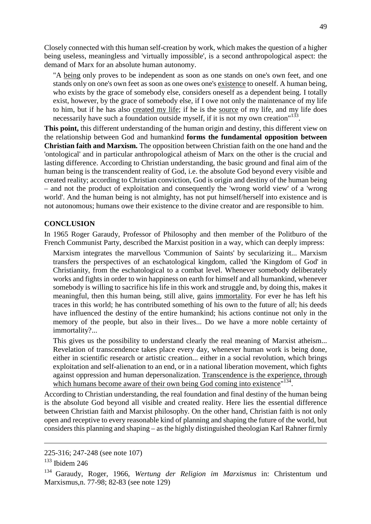<span id="page-48-0"></span>Closely connected with this human self-creation by work, which makes the question of a higher being useless, meaningless and 'virtually impossible', is a second anthropological aspect: the demand of Marx for an absolute human autonomy.

"A being only proves to be independent as soon as one stands on one's own feet, and one stands only on one's own feet as soon as one owes one's existence to oneself. A human being, who exists by the grace of somebody else, considers oneself as a dependent being. I totally exist, however, by the grace of somebody else, if I owe not only the maintenance of my life to him, but if he has also created my life; if he is the source of my life, and my life does necessarily have such a foundation outside myself, if it is not my own creation"<sup>[133](#page-48-1)</sup>.

**This point,** this different understanding of the human origin and destiny, this different view on the relationship between God and humankind **forms the fundamental opposition between Christian faith and Marxism.** The opposition between Christian faith on the one hand and the 'ontological' and in particular anthropological atheism of Marx on the other is the crucial and lasting difference. According to Christian understanding, the basic ground and final aim of the human being is the transcendent reality of God, i.e. the absolute God beyond every visible and created reality; according to Christian conviction, God is origin and destiny of the human being – and not the product of exploitation and consequently the 'wrong world view' of a 'wrong world'. And the human being is not almighty, has not put himself/herself into existence and is not autonomous; humans owe their existence to the divine creator and are responsible to him.

#### **CONCLUSION**

In 1965 Roger Garaudy, Professor of Philosophy and then member of the Politburo of the French Communist Party, described the Marxist position in a way, which can deeply impress:

Marxism integrates the marvellous 'Communion of Saints' by secularizing it... Marxism transfers the perspectives of an eschatological kingdom, called 'the Kingdom of God' in Christianity, from the eschatological to a combat level. Whenever somebody deliberately works and fights in order to win happiness on earth for himself and all humankind, whenever somebody is willing to sacrifice his life in this work and struggle and, by doing this, makes it meaningful, then this human being, still alive, gains immortality. For ever he has left his traces in this world; he has contributed something of his own to the future of all; his deeds have influenced the destiny of the entire humankind; his actions continue not only in the memory of the people, but also in their lives... Do we have a more noble certainty of immortality?...

This gives us the possibility to understand clearly the real meaning of Marxist atheism... Revelation of transcendence takes place every day, whenever human work is being done, either in scientific research or artistic creation... either in a social revolution, which brings exploitation and self-alienation to an end, or in a national liberation movement, which fights against oppression and human depersonalization. Transcendence is the experience, through which humans become aware of their own being God coming into existence"<sup>[134](#page-48-2)</sup>.

According to Christian understanding, the real foundation and final destiny of the human being is the absolute God beyond all visible and created reality. Here lies the essential difference between Christian faith and Marxist philosophy. On the other hand, Christian faith is not only open and receptive to every reasonable kind of planning and shaping the future of the world, but considers this planning and shaping – as the highly distinguished theologian Karl Rahner firmly

<sup>225-316; 247-248 (</sup>see note 107)

<span id="page-48-1"></span> $133$  Ibidem 246

<span id="page-48-2"></span><sup>134</sup> Garaudy, Roger, 1966, *Wertung der Religion im Marxismus* in: Christentum und Marxismus,n. 77-98; 82-83 (see note 129)